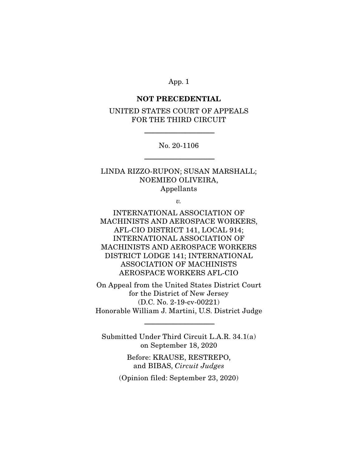### **NOT PRECEDENTIAL**

UNITED STATES COURT OF APPEALS FOR THE THIRD CIRCUIT

No. 20-1106

-----------------------------------------------------------------------

-----------------------------------------------------------------------

LINDA RIZZO-RUPON; SUSAN MARSHALL; NOEMIEO OLIVEIRA, Appellants

 $\upsilon$ .

INTERNATIONAL ASSOCIATION OF MACHINISTS AND AEROSPACE WORKERS, AFL-CIO DISTRICT 141, LOCAL 914; INTERNATIONAL ASSOCIATION OF MACHINISTS AND AEROSPACE WORKERS DISTRICT LODGE 141; INTERNATIONAL ASSOCIATION OF MACHINISTS AEROSPACE WORKERS AFL-CIO

On Appeal from the United States District Court for the District of New Jersey (D.C. No. 2-19-cv-00221) Honorable William J. Martini, U.S. District Judge

Submitted Under Third Circuit L.A.R. 34.1(a) on September 18, 2020

-----------------------------------------------------------------------

Before: KRAUSE, RESTREPO, and BIBAS, Circuit Judges

(Opinion filed: September 23, 2020)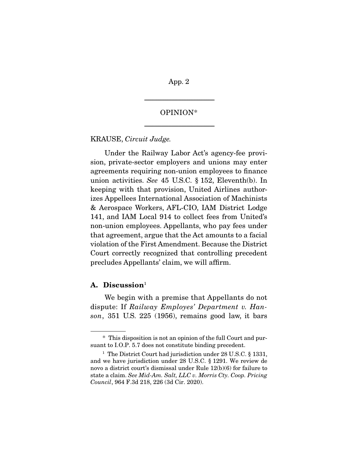### OPINION\*

-----------------------------------------------------------------------

-----------------------------------------------------------------------

KRAUSE, Circuit Judge.

 Under the Railway Labor Act's agency-fee provision, private-sector employers and unions may enter agreements requiring non-union employees to finance union activities. See 45 U.S.C. § 152, Eleventh(b). In keeping with that provision, United Airlines authorizes Appellees International Association of Machinists & Aerospace Workers, AFL-CIO, IAM District Lodge 141, and IAM Local 914 to collect fees from United's non-union employees. Appellants, who pay fees under that agreement, argue that the Act amounts to a facial violation of the First Amendment. Because the District Court correctly recognized that controlling precedent precludes Appellants' claim, we will affirm.

## **A. Discussion**<sup>1</sup>

We begin with a premise that Appellants do not dispute: If Railway Employes' Department v. Hanson, 351 U.S. 225 (1956), remains good law, it bars

 <sup>\*</sup> This disposition is not an opinion of the full Court and pursuant to I.O.P. 5.7 does not constitute binding precedent.

<sup>&</sup>lt;sup>1</sup> The District Court had jurisdiction under 28 U.S.C. § 1331, and we have jurisdiction under 28 U.S.C. § 1291. We review de novo a district court's dismissal under Rule 12(b)(6) for failure to state a claim. See Mid-Am. Salt, LLC v. Morris Cty. Coop. Pricing Council, 964 F.3d 218, 226 (3d Cir. 2020).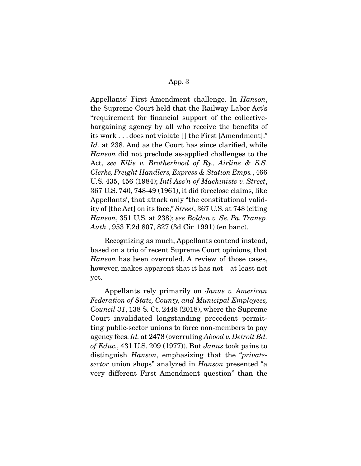Appellants' First Amendment challenge. In Hanson, the Supreme Court held that the Railway Labor Act's "requirement for financial support of the collectivebargaining agency by all who receive the benefits of its work . . . does not violate [ ] the First [Amendment]." Id. at 238. And as the Court has since clarified, while Hanson did not preclude as-applied challenges to the Act, see Ellis v. Brotherhood of Ry., Airline & S.S. Clerks, Freight Handlers, Express & Station Emps., 466 U.S. 435, 456 (1984); Intl Ass'n of Machinists v. Street, 367 U.S. 740, 748-49 (1961), it did foreclose claims, like Appellants', that attack only "the constitutional validity of [the Act] on its face," Street, 367 U.S. at 748 (citing Hanson, 351 U.S. at 238); see Bolden v. Se. Pa. Transp. Auth., 953 F.2d 807, 827 (3d Cir. 1991) (en banc).

 Recognizing as much, Appellants contend instead, based on a trio of recent Supreme Court opinions, that Hanson has been overruled. A review of those cases, however, makes apparent that it has not—at least not yet.

 Appellants rely primarily on Janus v. American Federation of State, County, and Municipal Employees, Council 31, 138 S. Ct. 2448 (2018), where the Supreme Court invalidated longstanding precedent permitting public-sector unions to force non-members to pay agency fees. Id. at 2478 (overruling Abood v. Detroit Bd. of Educ., 431 U.S. 209 (1977)). But Janus took pains to distinguish *Hanson*, emphasizing that the "*private*sector union shops" analyzed in Hanson presented "a very different First Amendment question" than the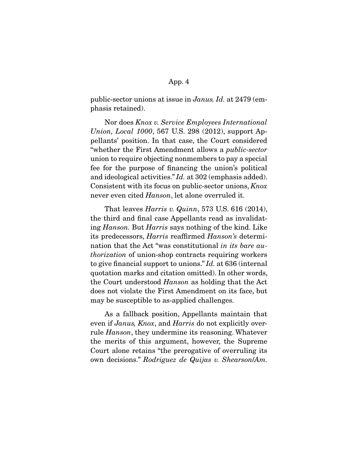public-sector unions at issue in Janus. Id. at 2479 (emphasis retained).

 Nor does Knox v. Service Employees International Union, Local 1000, 567 U.S. 298 (2012), support Appellants' position. In that case, the Court considered "whether the First Amendment allows a public-sector union to require objecting nonmembers to pay a special fee for the purpose of financing the union's political and ideological activities." *Id.* at 302 (emphasis added). Consistent with its focus on public-sector unions, *Knox* never even cited Hanson, let alone overruled it.

That leaves *Harris v. Quinn*, 573 U.S. 616  $(2014)$ , the third and final case Appellants read as invalidating Hanson. But Harris says nothing of the kind. Like its predecessors, Harris reaffirmed Hanson's determination that the Act "was constitutional in its bare authorization of union-shop contracts requiring workers to give financial support to unions." Id. at 636 (internal quotation marks and citation omitted). In other words, the Court understood Hanson as holding that the Act does not violate the First Amendment on its face, but may be susceptible to as-applied challenges.

 As a fallback position, Appellants maintain that even if *Janus, Knox*, and *Harris* do not explicitly overrule Hanson, they undermine its reasoning. Whatever the merits of this argument, however, the Supreme Court alone retains "the prerogative of overruling its own decisions." Rodriguez de Quijas v. Shearson/Am.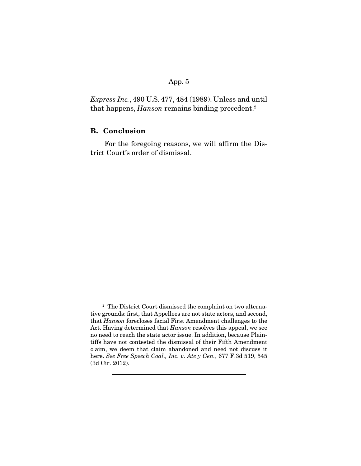Express Inc., 490 U.S. 477, 484 (1989). Unless and until that happens, *Hanson* remains binding precedent.<sup>2</sup>

## **B. Conclusion**

For the foregoing reasons, we will affirm the District Court's order of dismissal.

<sup>&</sup>lt;sup>2</sup> The District Court dismissed the complaint on two alternative grounds: first, that Appellees are not state actors, and second, that Hanson forecloses facial First Amendment challenges to the Act. Having determined that Hanson resolves this appeal, we see no need to reach the state actor issue. In addition, because Plaintiffs have not contested the dismissal of their Fifth Amendment claim, we deem that claim abandoned and need not discuss it here. See Free Speech Coal., Inc. v. Ate y Gen., 677 F.3d 519, 545 (3d Cir. 2012).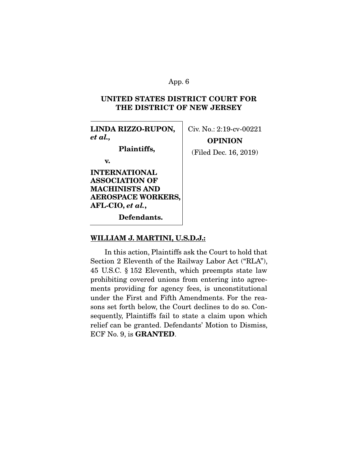# **UNITED STATES DISTRICT COURT FOR THE DISTRICT OF NEW JERSEY**

**LINDA RIZZO-RUPON,**  *et al.,*

 **Plaintiffs,** 

Civ. No.: 2:19-cv-00221 **OPINION** 

(Filed Dec. 16, 2019)

 **v.** 

**INTERNATIONAL ASSOCIATION OF MACHINISTS AND AEROSPACE WORKERS, AFL-CIO,** *et al.***,** 

 **Defendants.** 

## **WILLIAM J. MARTINI, U.S.D.J.:**

 In this action, Plaintiffs ask the Court to hold that Section 2 Eleventh of the Railway Labor Act ("RLA"), 45 U.S.C. § 152 Eleventh, which preempts state law prohibiting covered unions from entering into agreements providing for agency fees, is unconstitutional under the First and Fifth Amendments. For the reasons set forth below, the Court declines to do so. Consequently, Plaintiffs fail to state a claim upon which relief can be granted. Defendants' Motion to Dismiss, ECF No. 9, is **GRANTED**.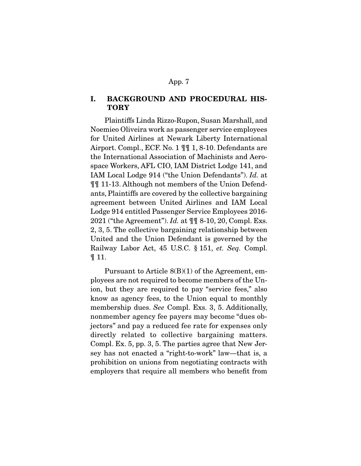## **I. BACKGROUND AND PROCEDURAL HIS-TORY**

Plaintiffs Linda Rizzo-Rupon, Susan Marshall, and Noemieo Oliveira work as passenger service employees for United Airlines at Newark Liberty International Airport. Compl., ECF. No. 1 ¶¶ 1, 8-10. Defendants are the International Association of Machinists and Aerospace Workers, AFL CIO, IAM District Lodge 141, and IAM Local Lodge 914 ("the Union Defendants"). Id. at ¶¶ 11-13. Although not members of the Union Defendants, Plaintiffs are covered by the collective bargaining agreement between United Airlines and IAM Local Lodge 914 entitled Passenger Service Employees 2016- 2021 ("the Agreement"). Id. at ¶¶ 8-10, 20, Compl. Exs. 2, 3, 5. The collective bargaining relationship between United and the Union Defendant is governed by the Railway Labor Act, 45 U.S.C. § 151, et. Seq. Compl. ¶ 11.

 Pursuant to Article 8(B)(1) of the Agreement, employees are not required to become members of the Union, but they are required to pay "service fees," also know as agency fees, to the Union equal to monthly membership dues. See Compl. Exs. 3, 5. Additionally, nonmember agency fee payers may become "dues objectors" and pay a reduced fee rate for expenses only directly related to collective bargaining matters. Compl. Ex. 5, pp. 3, 5. The parties agree that New Jersey has not enacted a "right-to-work" law—that is, a prohibition on unions from negotiating contracts with employers that require all members who benefit from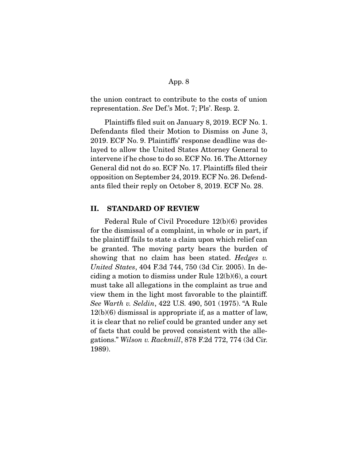the union contract to contribute to the costs of union representation. See Def.'s Mot. 7; Pls'. Resp. 2.

 Plaintiffs filed suit on January 8, 2019. ECF No. 1. Defendants filed their Motion to Dismiss on June 3, 2019. ECF No. 9. Plaintiffs' response deadline was delayed to allow the United States Attorney General to intervene if he chose to do so. ECF No. 16. The Attorney General did not do so. ECF No. 17. Plaintiffs filed their opposition on September 24, 2019. ECF No. 26. Defendants filed their reply on October 8, 2019. ECF No. 28.

### **II. STANDARD OF REVIEW**

Federal Rule of Civil Procedure 12(b)(6) provides for the dismissal of a complaint, in whole or in part, if the plaintiff fails to state a claim upon which relief can be granted. The moving party bears the burden of showing that no claim has been stated. Hedges  $v$ . United States, 404 F.3d 744, 750 (3d Cir. 2005). In deciding a motion to dismiss under Rule 12(b)(6), a court must take all allegations in the complaint as true and view them in the light most favorable to the plaintiff. See Warth v. Seldin, 422 U.S. 490, 501 (1975). "A Rule 12(b)(6) dismissal is appropriate if, as a matter of law, it is clear that no relief could be granted under any set of facts that could be proved consistent with the allegations." Wilson v. Rackmill, 878 F.2d 772, 774 (3d Cir. 1989).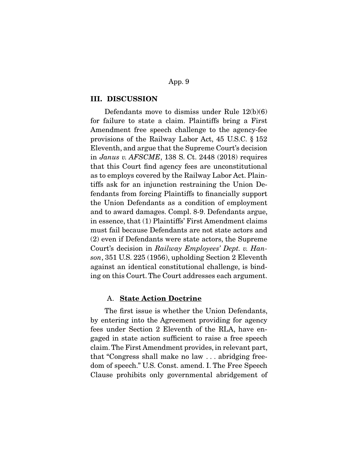#### **III. DISCUSSION**

Defendants move to dismiss under Rule 12(b)(6) for failure to state a claim. Plaintiffs bring a First Amendment free speech challenge to the agency-fee provisions of the Railway Labor Act, 45 U.S.C. § 152 Eleventh, and argue that the Supreme Court's decision in Janus v. AFSCME, 138 S. Ct. 2448 (2018) requires that this Court find agency fees are unconstitutional as to employs covered by the Railway Labor Act. Plaintiffs ask for an injunction restraining the Union Defendants from forcing Plaintiffs to financially support the Union Defendants as a condition of employment and to award damages. Compl. 8-9. Defendants argue, in essence, that (1) Plaintiffs' First Amendment claims must fail because Defendants are not state actors and (2) even if Defendants were state actors, the Supreme Court's decision in Railway Employees' Dept. v. Hanson, 351 U.S. 225 (1956), upholding Section 2 Eleventh against an identical constitutional challenge, is binding on this Court. The Court addresses each argument.

### A. **State Action Doctrine**

 The first issue is whether the Union Defendants, by entering into the Agreement providing for agency fees under Section 2 Eleventh of the RLA, have engaged in state action sufficient to raise a free speech claim. The First Amendment provides, in relevant part, that "Congress shall make no law . . . abridging freedom of speech." U.S. Const. amend. I. The Free Speech Clause prohibits only governmental abridgement of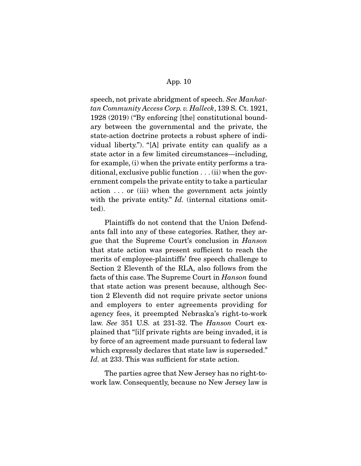speech, not private abridgment of speech. See Manhattan Community Access Corp. v. Halleck, 139 S. Ct. 1921, 1928 (2019) ("By enforcing [the] constitutional boundary between the governmental and the private, the state-action doctrine protects a robust sphere of individual liberty."). "[A] private entity can qualify as a state actor in a few limited circumstances—including, for example, (i) when the private entity performs a traditional, exclusive public function . . . (ii) when the government compels the private entity to take a particular action . . . or (iii) when the government acts jointly with the private entity." Id. (internal citations omitted).

 Plaintiffs do not contend that the Union Defendants fall into any of these categories. Rather, they argue that the Supreme Court's conclusion in Hanson that state action was present sufficient to reach the merits of employee-plaintiffs' free speech challenge to Section 2 Eleventh of the RLA, also follows from the facts of this case. The Supreme Court in Hanson found that state action was present because, although Section 2 Eleventh did not require private sector unions and employers to enter agreements providing for agency fees, it preempted Nebraska's right-to-work law. See 351 U.S. at 231-32. The Hanson Court explained that "[i]f private rights are being invaded, it is by force of an agreement made pursuant to federal law which expressly declares that state law is superseded." Id. at 233. This was sufficient for state action.

 The parties agree that New Jersey has no right-towork law. Consequently, because no New Jersey law is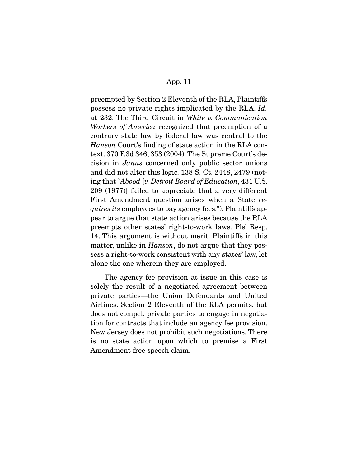preempted by Section 2 Eleventh of the RLA, Plaintiffs possess no private rights implicated by the RLA. Id. at 232. The Third Circuit in White v. Communication Workers of America recognized that preemption of a contrary state law by federal law was central to the Hanson Court's finding of state action in the RLA context. 370 F.3d 346, 353 (2004). The Supreme Court's decision in Janus concerned only public sector unions and did not alter this logic. 138 S. Ct. 2448, 2479 (noting that "Abood [v. Detroit Board of Education, 431 U.S. 209 (1977)] failed to appreciate that a very different First Amendment question arises when a State requires its employees to pay agency fees."). Plaintiffs appear to argue that state action arises because the RLA preempts other states' right-to-work laws. Pls' Resp. 14. This argument is without merit. Plaintiffs in this matter, unlike in *Hanson*, do not argue that they possess a right-to-work consistent with any states' law, let alone the one wherein they are employed.

 The agency fee provision at issue in this case is solely the result of a negotiated agreement between private parties—the Union Defendants and United Airlines. Section 2 Eleventh of the RLA permits, but does not compel, private parties to engage in negotiation for contracts that include an agency fee provision. New Jersey does not prohibit such negotiations. There is no state action upon which to premise a First Amendment free speech claim.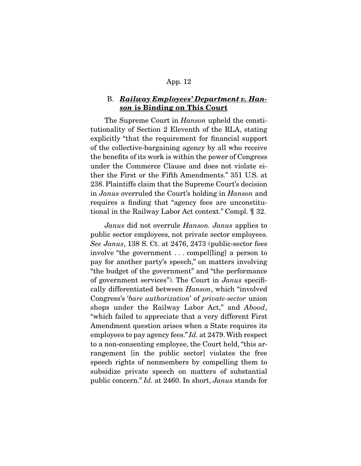## B. *Railway Employees' Department v. Hanson* **is Binding on This Court**

The Supreme Court in Hanson upheld the constitutionality of Section 2 Eleventh of the RLA, stating explicitly "that the requirement for financial support of the collective-bargaining agency by all who receive the benefits of its work is within the power of Congress under the Commerce Clause and does not violate either the First or the Fifth Amendments." 351 U.S. at 238. Plaintiffs claim that the Supreme Court's decision in Janus overruled the Court's holding in Hanson and requires a finding that "agency fees are unconstitutional in the Railway Labor Act context." Compl. ¶ 32.

Janus did not overrule Hanson. Janus applies to public sector employees, not private sector employees. See Janus, 138 S. Ct. at 2476, 2473 (public-sector fees involve "the government . . . compel[ling] a person to pay for another party's speech," on matters involving "the budget of the government" and "the performance of government services"). The Court in Janus specifically differentiated between Hanson, which "involved Congress's 'bare authorization' of private-sector union shops under the Railway Labor Act," and Abood, "which failed to appreciate that a very different First Amendment question arises when a State requires its employees to pay agency fees." Id. at 2479. With respect to a non-consenting employee, the Court held, "this arrangement [in the public sector] violates the free speech rights of nonmembers by compelling them to subsidize private speech on matters of substantial public concern." Id. at 2460. In short, Janus stands for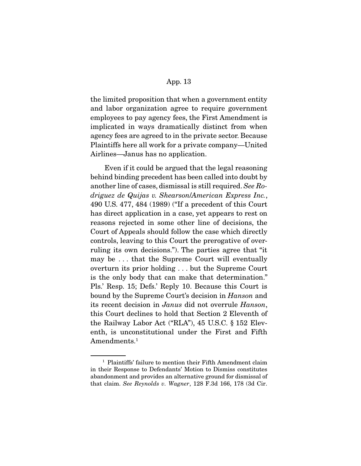the limited proposition that when a government entity and labor organization agree to require government employees to pay agency fees, the First Amendment is implicated in ways dramatically distinct from when agency fees are agreed to in the private sector. Because Plaintiffs here all work for a private company—United Airlines—Janus has no application.

Even if it could be argued that the legal reasoning behind binding precedent has been called into doubt by another line of cases, dismissal is still required. See Rodriguez de Quijas v. Shearson/American Express Inc., 490 U.S. 477, 484 (1989) ("If a precedent of this Court has direct application in a case, yet appears to rest on reasons rejected in some other line of decisions, the Court of Appeals should follow the case which directly controls, leaving to this Court the prerogative of overruling its own decisions."). The parties agree that "it may be . . . that the Supreme Court will eventually overturn its prior holding . . . but the Supreme Court is the only body that can make that determination." Pls.' Resp. 15; Defs.' Reply 10. Because this Court is bound by the Supreme Court's decision in Hanson and its recent decision in Janus did not overrule Hanson, this Court declines to hold that Section 2 Eleventh of the Railway Labor Act ("RLA"), 45 U.S.C. § 152 Eleventh, is unconstitutional under the First and Fifth Amendments.<sup>1</sup>

<sup>&</sup>lt;sup>1</sup> Plaintiffs' failure to mention their Fifth Amendment claim in their Response to Defendants' Motion to Dismiss constitutes abandonment and provides an alternative ground for dismissal of that claim. See Reynolds v. Wagner, 128 F.3d 166, 178 (3d Cir.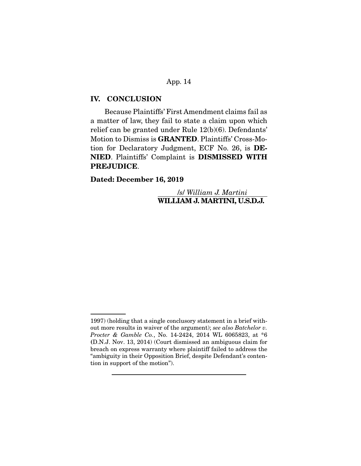### **IV. CONCLUSION**

Because Plaintiffs' First Amendment claims fail as a matter of law, they fail to state a claim upon which relief can be granted under Rule 12(b)(6). Defendants' Motion to Dismiss is **GRANTED**. Plaintiffs' Cross-Motion for Declaratory Judgment, ECF No. 26, is **DE-NIED**. Plaintiffs' Complaint is **DISMISSED WITH PREJUDICE**.

### **Dated: December 16, 2019**

/s/ William J. Martini **WILLIAM J. MARTINI, U.S.D.J.** 

<sup>1997) (</sup>holding that a single conclusory statement in a brief without more results in waiver of the argument); see also Batchelor v. Procter & Gamble Co., No. 14-2424, 2014 WL 6065823, at \*6 **(**D.N.J. Nov. 13, 2014) (Court dismissed an ambiguous claim for breach on express warranty where plaintiff failed to address the "ambiguity in their Opposition Brief, despite Defendant's contention in support of the motion").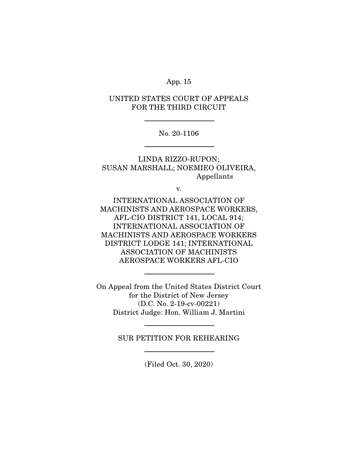## UNITED STATES COURT OF APPEALS FOR THE THIRD CIRCUIT

No. 20-1106

-----------------------------------------------------------------------

-----------------------------------------------------------------------

LINDA RIZZO-RUPON; SUSAN MARSHALL; NOEMIEO OLIVEIRA, Appellants

v.

INTERNATIONAL ASSOCIATION OF MACHINISTS AND AEROSPACE WORKERS, AFL-CIO DISTRICT 141, LOCAL 914; INTERNATIONAL ASSOCIATION OF MACHINISTS AND AEROSPACE WORKERS DISTRICT LODGE 141; INTERNATIONAL ASSOCIATION OF MACHINISTS AEROSPACE WORKERS AFL-CIO

On Appeal from the United States District Court for the District of New Jersey (D.C. No. 2-19-cv-00221) District Judge: Hon. William J. Martini

-----------------------------------------------------------------------

SUR PETITION FOR REHEARING

-----------------------------------------------------------------------

-----------------------------------------------------------------------

(Filed Oct. 30, 2020)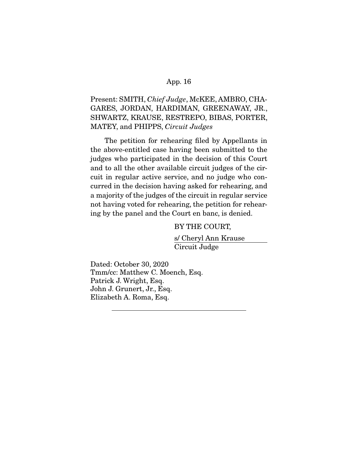Present: SMITH, Chief Judge, McKEE, AMBRO, CHA-GARES, JORDAN, HARDIMAN, GREENAWAY, JR., SHWARTZ, KRAUSE, RESTREPO, BIBAS, PORTER, MATEY, and PHIPPS, Circuit Judges

 The petition for rehearing filed by Appellants in the above-entitled case having been submitted to the judges who participated in the decision of this Court and to all the other available circuit judges of the circuit in regular active service, and no judge who concurred in the decision having asked for rehearing, and a majority of the judges of the circuit in regular service not having voted for rehearing, the petition for rehearing by the panel and the Court en banc, is denied.

## BY THE COURT,

 s/ Cheryl Ann Krause Circuit Judge

Dated: October 30, 2020 Tmm/cc: Matthew C. Moench, Esq. Patrick J. Wright, Esq. John J. Grunert, Jr., Esq. Elizabeth A. Roma, Esq.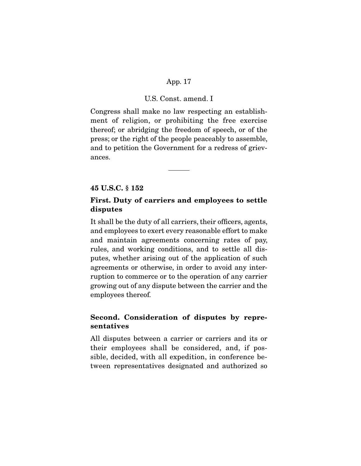## U.S. Const. amend. I

Congress shall make no law respecting an establishment of religion, or prohibiting the free exercise thereof; or abridging the freedom of speech, or of the press; or the right of the people peaceably to assemble, and to petition the Government for a redress of grievances.

### **45 U.S.C. § 152**

## **First. Duty of carriers and employees to settle disputes**

It shall be the duty of all carriers, their officers, agents, and employees to exert every reasonable effort to make and maintain agreements concerning rates of pay, rules, and working conditions, and to settle all disputes, whether arising out of the application of such agreements or otherwise, in order to avoid any interruption to commerce or to the operation of any carrier growing out of any dispute between the carrier and the employees thereof.

# **Second. Consideration of disputes by representatives**

All disputes between a carrier or carriers and its or their employees shall be considered, and, if possible, decided, with all expedition, in conference between representatives designated and authorized so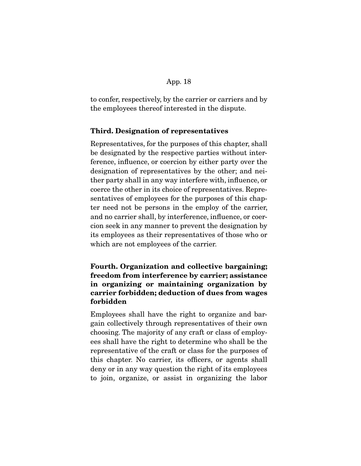to confer, respectively, by the carrier or carriers and by the employees thereof interested in the dispute.

### **Third. Designation of representatives**

Representatives, for the purposes of this chapter, shall be designated by the respective parties without interference, influence, or coercion by either party over the designation of representatives by the other; and neither party shall in any way interfere with, influence, or coerce the other in its choice of representatives. Representatives of employees for the purposes of this chapter need not be persons in the employ of the carrier, and no carrier shall, by interference, influence, or coercion seek in any manner to prevent the designation by its employees as their representatives of those who or which are not employees of the carrier.

# **Fourth. Organization and collective bargaining; freedom from interference by carrier; assistance in organizing or maintaining organization by carrier forbidden; deduction of dues from wages forbidden**

Employees shall have the right to organize and bargain collectively through representatives of their own choosing. The majority of any craft or class of employees shall have the right to determine who shall be the representative of the craft or class for the purposes of this chapter. No carrier, its officers, or agents shall deny or in any way question the right of its employees to join, organize, or assist in organizing the labor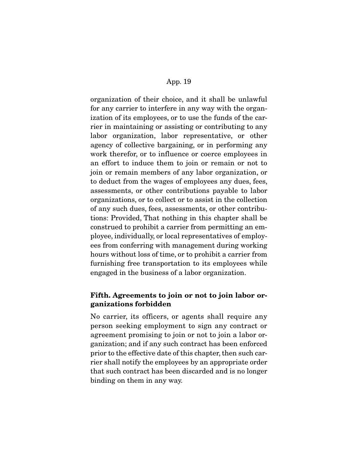organization of their choice, and it shall be unlawful for any carrier to interfere in any way with the organization of its employees, or to use the funds of the carrier in maintaining or assisting or contributing to any labor organization, labor representative, or other agency of collective bargaining, or in performing any work therefor, or to influence or coerce employees in an effort to induce them to join or remain or not to join or remain members of any labor organization, or to deduct from the wages of employees any dues, fees, assessments, or other contributions payable to labor organizations, or to collect or to assist in the collection of any such dues, fees, assessments, or other contributions: Provided, That nothing in this chapter shall be construed to prohibit a carrier from permitting an employee, individually, or local representatives of employees from conferring with management during working hours without loss of time, or to prohibit a carrier from furnishing free transportation to its employees while engaged in the business of a labor organization.

## **Fifth. Agreements to join or not to join labor organizations forbidden**

No carrier, its officers, or agents shall require any person seeking employment to sign any contract or agreement promising to join or not to join a labor organization; and if any such contract has been enforced prior to the effective date of this chapter, then such carrier shall notify the employees by an appropriate order that such contract has been discarded and is no longer binding on them in any way.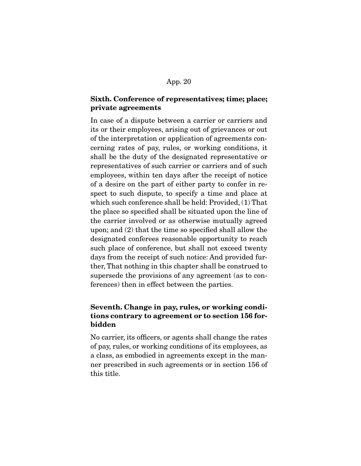# **Sixth. Conference of representatives; time; place; private agreements**

In case of a dispute between a carrier or carriers and its or their employees, arising out of grievances or out of the interpretation or application of agreements concerning rates of pay, rules, or working conditions, it shall be the duty of the designated representative or representatives of such carrier or carriers and of such employees, within ten days after the receipt of notice of a desire on the part of either party to confer in respect to such dispute, to specify a time and place at which such conference shall be held: Provided, (1) That the place so specified shall be situated upon the line of the carrier involved or as otherwise mutually agreed upon; and (2) that the time so specified shall allow the designated conferees reasonable opportunity to reach such place of conference, but shall not exceed twenty days from the receipt of such notice: And provided further, That nothing in this chapter shall be construed to supersede the provisions of any agreement (as to conferences) then in effect between the parties.

# **Seventh. Change in pay, rules, or working conditions contrary to agreement or to section 156 forbidden**

No carrier, its officers, or agents shall change the rates of pay, rules, or working conditions of its employees, as a class, as embodied in agreements except in the manner prescribed in such agreements or in section 156 of this title.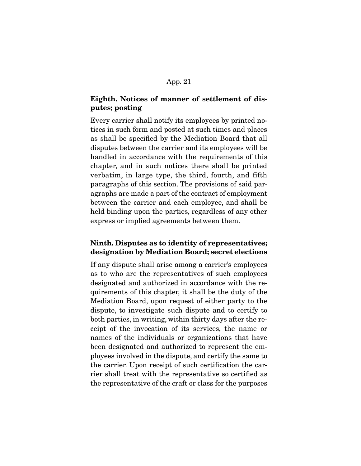# **Eighth. Notices of manner of settlement of disputes; posting**

Every carrier shall notify its employees by printed notices in such form and posted at such times and places as shall be specified by the Mediation Board that all disputes between the carrier and its employees will be handled in accordance with the requirements of this chapter, and in such notices there shall be printed verbatim, in large type, the third, fourth, and fifth paragraphs of this section. The provisions of said paragraphs are made a part of the contract of employment between the carrier and each employee, and shall be held binding upon the parties, regardless of any other express or implied agreements between them.

# **Ninth. Disputes as to identity of representatives; designation by Mediation Board; secret elections**

If any dispute shall arise among a carrier's employees as to who are the representatives of such employees designated and authorized in accordance with the requirements of this chapter, it shall be the duty of the Mediation Board, upon request of either party to the dispute, to investigate such dispute and to certify to both parties, in writing, within thirty days after the receipt of the invocation of its services, the name or names of the individuals or organizations that have been designated and authorized to represent the employees involved in the dispute, and certify the same to the carrier. Upon receipt of such certification the carrier shall treat with the representative so certified as the representative of the craft or class for the purposes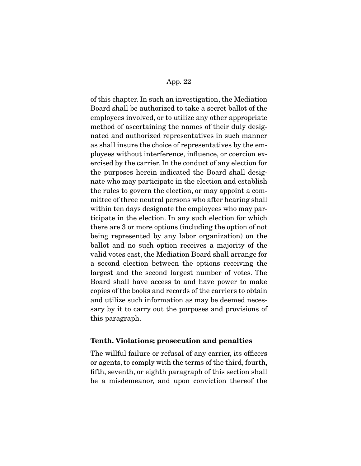of this chapter. In such an investigation, the Mediation Board shall be authorized to take a secret ballot of the employees involved, or to utilize any other appropriate method of ascertaining the names of their duly designated and authorized representatives in such manner as shall insure the choice of representatives by the employees without interference, influence, or coercion exercised by the carrier. In the conduct of any election for the purposes herein indicated the Board shall designate who may participate in the election and establish the rules to govern the election, or may appoint a committee of three neutral persons who after hearing shall within ten days designate the employees who may participate in the election. In any such election for which there are 3 or more options (including the option of not being represented by any labor organization) on the ballot and no such option receives a majority of the valid votes cast, the Mediation Board shall arrange for a second election between the options receiving the largest and the second largest number of votes. The Board shall have access to and have power to make copies of the books and records of the carriers to obtain and utilize such information as may be deemed necessary by it to carry out the purposes and provisions of this paragraph.

### **Tenth. Violations; prosecution and penalties**

The willful failure or refusal of any carrier, its officers or agents, to comply with the terms of the third, fourth, fifth, seventh, or eighth paragraph of this section shall be a misdemeanor, and upon conviction thereof the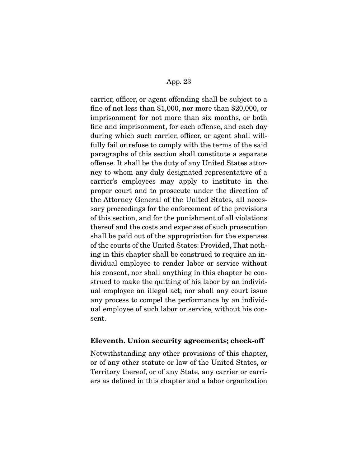carrier, officer, or agent offending shall be subject to a fine of not less than \$1,000, nor more than \$20,000, or imprisonment for not more than six months, or both fine and imprisonment, for each offense, and each day during which such carrier, officer, or agent shall willfully fail or refuse to comply with the terms of the said paragraphs of this section shall constitute a separate offense. It shall be the duty of any United States attorney to whom any duly designated representative of a carrier's employees may apply to institute in the proper court and to prosecute under the direction of the Attorney General of the United States, all necessary proceedings for the enforcement of the provisions of this section, and for the punishment of all violations thereof and the costs and expenses of such prosecution shall be paid out of the appropriation for the expenses of the courts of the United States: Provided, That nothing in this chapter shall be construed to require an individual employee to render labor or service without his consent, nor shall anything in this chapter be construed to make the quitting of his labor by an individual employee an illegal act; nor shall any court issue any process to compel the performance by an individual employee of such labor or service, without his consent.

### **Eleventh. Union security agreements; check-off**

Notwithstanding any other provisions of this chapter, or of any other statute or law of the United States, or Territory thereof, or of any State, any carrier or carriers as defined in this chapter and a labor organization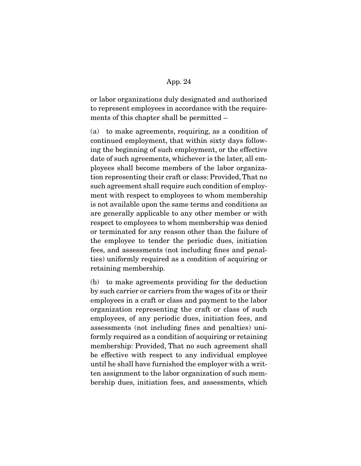or labor organizations duly designated and authorized to represent employees in accordance with the requirements of this chapter shall be permitted –

(a) to make agreements, requiring, as a condition of continued employment, that within sixty days following the beginning of such employment, or the effective date of such agreements, whichever is the later, all employees shall become members of the labor organization representing their craft or class: Provided, That no such agreement shall require such condition of employment with respect to employees to whom membership is not available upon the same terms and conditions as are generally applicable to any other member or with respect to employees to whom membership was denied or terminated for any reason other than the failure of the employee to tender the periodic dues, initiation fees, and assessments (not including fines and penalties) uniformly required as a condition of acquiring or retaining membership.

(b) to make agreements providing for the deduction by such carrier or carriers from the wages of its or their employees in a craft or class and payment to the labor organization representing the craft or class of such employees, of any periodic dues, initiation fees, and assessments (not including fines and penalties) uniformly required as a condition of acquiring or retaining membership: Provided, That no such agreement shall be effective with respect to any individual employee until he shall have furnished the employer with a written assignment to the labor organization of such membership dues, initiation fees, and assessments, which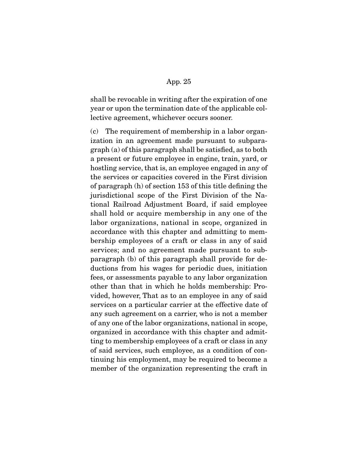shall be revocable in writing after the expiration of one year or upon the termination date of the applicable collective agreement, whichever occurs sooner.

(c) The requirement of membership in a labor organization in an agreement made pursuant to subparagraph (a) of this paragraph shall be satisfied, as to both a present or future employee in engine, train, yard, or hostling service, that is, an employee engaged in any of the services or capacities covered in the First division of paragraph (h) of section 153 of this title defining the jurisdictional scope of the First Division of the National Railroad Adjustment Board, if said employee shall hold or acquire membership in any one of the labor organizations, national in scope, organized in accordance with this chapter and admitting to membership employees of a craft or class in any of said services; and no agreement made pursuant to subparagraph (b) of this paragraph shall provide for deductions from his wages for periodic dues, initiation fees, or assessments payable to any labor organization other than that in which he holds membership: Provided, however, That as to an employee in any of said services on a particular carrier at the effective date of any such agreement on a carrier, who is not a member of any one of the labor organizations, national in scope, organized in accordance with this chapter and admitting to membership employees of a craft or class in any of said services, such employee, as a condition of continuing his employment, may be required to become a member of the organization representing the craft in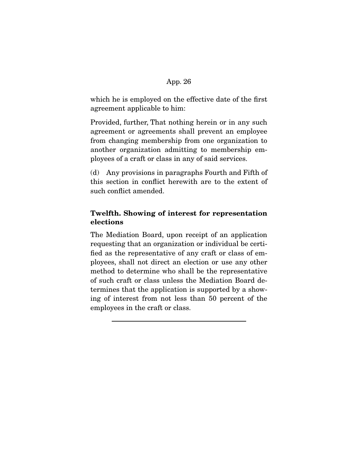which he is employed on the effective date of the first agreement applicable to him:

Provided, further, That nothing herein or in any such agreement or agreements shall prevent an employee from changing membership from one organization to another organization admitting to membership employees of a craft or class in any of said services.

(d) Any provisions in paragraphs Fourth and Fifth of this section in conflict herewith are to the extent of such conflict amended.

# **Twelfth. Showing of interest for representation elections**

The Mediation Board, upon receipt of an application requesting that an organization or individual be certified as the representative of any craft or class of employees, shall not direct an election or use any other method to determine who shall be the representative of such craft or class unless the Mediation Board determines that the application is supported by a showing of interest from not less than 50 percent of the employees in the craft or class.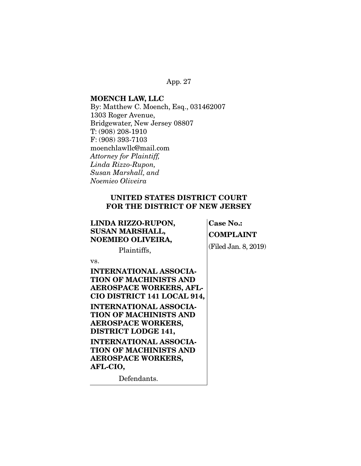## **MOENCH LAW, LLC**

By: Matthew C. Moench, Esq., 031462007 1303 Roger Avenue, Bridgewater, New Jersey 08807 T: (908) 208-1910 F: (908) 393-7103 moenchlawllc@mail.com *Attorney for Plaintiff, Linda Rizzo-Rupon, Susan Marshall, and Noemieo Oliveira* 

# **UNITED STATES DISTRICT COURT FOR THE DISTRICT OF NEW JERSEY**

| <b>LINDA RIZZO-RUPON,</b> |
|---------------------------|
| SUSAN MARSHALL,           |
| <b>NOEMIEO OLIVEIRA,</b>  |

Plaintiffs,

**Case No.: COMPLAINT**  (Filed Jan. 8, 2019)

vs.

**INTERNATIONAL ASSOCIA-TION OF MACHINISTS AND AEROSPACE WORKERS, AFL-CIO DISTRICT 141 LOCAL 914, INTERNATIONAL ASSOCIA-TION OF MACHINISTS AND AEROSPACE WORKERS, DISTRICT LODGE 141, INTERNATIONAL ASSOCIA-TION OF MACHINISTS AND AEROSPACE WORKERS, AFL-CIO,**

Defendants.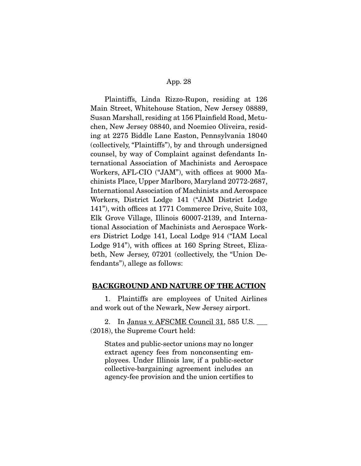Plaintiffs, Linda Rizzo-Rupon, residing at 126 Main Street, Whitehouse Station, New Jersey 08889, Susan Marshall, residing at 156 Plainfield Road, Metuchen, New Jersey 08840, and Noemieo Oliveira, residing at 2275 Biddle Lane Easton, Pennsylvania 18040 (collectively, "Plaintiffs"), by and through undersigned counsel, by way of Complaint against defendants International Association of Machinists and Aerospace Workers, AFL-CIO ("JAM"), with offices at 9000 Machinists Place, Upper Marlboro, Maryland 20772-2687, International Association of Machinists and Aerospace Workers, District Lodge 141 ("JAM District Lodge 141"), with offices at 1771 Commerce Drive, Suite 103, Elk Grove Village, Illinois 60007-2139, and International Association of Machinists and Aerospace Workers District Lodge 141, Local Lodge 914 ("IAM Local Lodge 914"), with offices at 160 Spring Street, Elizabeth, New Jersey, 07201 (collectively, the "Union Defendants"), allege as follows:

### **BACKGROUND AND NATURE OF THE ACTION**

 1. Plaintiffs are employees of United Airlines and work out of the Newark, New Jersey airport.

2. In Janus v. AFSCME Council 31, 585 U.S. (2018), the Supreme Court held:

States and public-sector unions may no longer extract agency fees from nonconsenting employees. Under Illinois law, if a public-sector collective-bargaining agreement includes an agency-fee provision and the union certifies to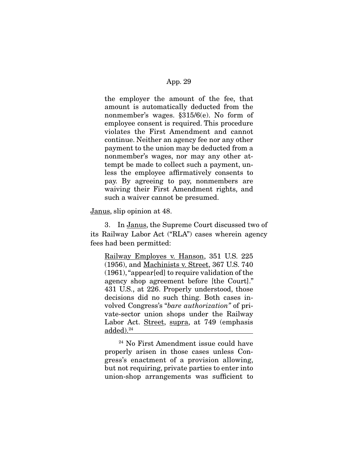the employer the amount of the fee, that amount is automatically deducted from the nonmember's wages. §315/6(e). No form of employee consent is required. This procedure violates the First Amendment and cannot continue. Neither an agency fee nor any other payment to the union may be deducted from a nonmember's wages, nor may any other attempt be made to collect such a payment, unless the employee affirmatively consents to pay. By agreeing to pay, nonmembers are waiving their First Amendment rights, and such a waiver cannot be presumed.

Janus, slip opinion at 48.

 3. In Janus, the Supreme Court discussed two of its Railway Labor Act ("RLA") cases wherein agency fees had been permitted:

Railway Employes v. Hanson, 351 U.S. 225 (1956), and Machinists v. Street, 367 U.S. 740 (1961), "appear[ed] to require validation of the agency shop agreement before [the Court]." 431 U.S., at 226. Properly understood, those decisions did no such thing. Both cases involved Congress's "*bare authorization"* of private-sector union shops under the Railway Labor Act. Street, supra, at 749 (emphasis added).24

24 No First Amendment issue could have properly arisen in those cases unless Congress's enactment of a provision allowing, but not requiring, private parties to enter into union-shop arrangements was sufficient to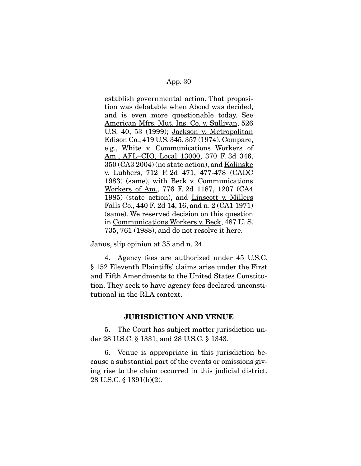establish governmental action. That proposition was debatable when Abood was decided, and is even more questionable today. See American Mfrs. Mut. Ins. Co. v. Sullivan, 526 U.S. 40, 53 (1999); Jackson v. Metropolitan Edison Co., 419 U.S. 345, 357 (1974). Compare, e.g., White v. Communications Workers of Am., AFL–CIO, Local 13000, 370 F. 3d 346, 350 (CA3 2004) (no state action), and Kolinske v. Lubbers, 712 F. 2d 471, 477-478 (CADC 1983) (same), with Beck v. Communications Workers of Am., 776 F. 2d 1187, 1207 (CA4 1985) (state action), and Linscott v. Millers Falls Co., 440 F. 2d 14, 16, and n. 2 (CA1 1971) (same). We reserved decision on this question in Communications Workers v. Beck, 487 U. S. 735, 761 (1988), and do not resolve it here.

Janus, slip opinion at 35 and n. 24.

 4. Agency fees are authorized under 45 U.S.C. § 152 Eleventh Plaintiffs' claims arise under the First and Fifth Amendments to the United States Constitution. They seek to have agency fees declared unconstitutional in the RLA context.

#### **JURISDICTION AND VENUE**

 5. The Court has subject matter jurisdiction under 28 U.S.C. § 1331, and 28 U.S.C. § 1343.

 6. Venue is appropriate in this jurisdiction because a substantial part of the events or omissions giving rise to the claim occurred in this judicial district. 28 U.S.C. § 1391(b)(2).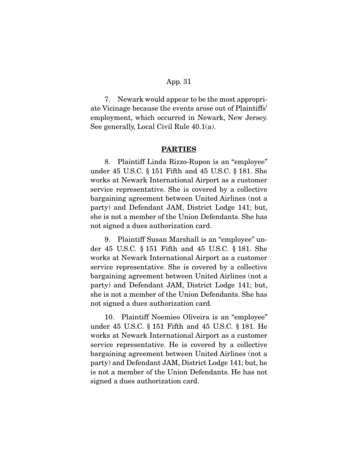7. Newark would appear to be the most appropriate Vicinage because the events arose out of Plaintiffs' employment, which occurred in Newark, New Jersey. See generally, Local Civil Rule 40.1(a).

#### **PARTIES**

 8. Plaintiff Linda Rizzo-Rupon is an "employee" under 45 U.S.C. § 151 Fifth and 45 U.S.C. § 181. She works at Newark International Airport as a customer service representative. She is covered by a collective bargaining agreement between United Airlines (not a party) and Defendant JAM, District Lodge 141; but, she is not a member of the Union Defendants. She has not signed a dues authorization card.

 9. Plaintiff Susan Marshall is an "employee" under 45 U.S.C. § 151 Fifth and 45 U.S.C. § 181. She works at Newark International Airport as a customer service representative. She is covered by a collective bargaining agreement between United Airlines (not a party) and Defendant JAM, District Lodge 141; but, she is not a member of the Union Defendants. She has not signed a dues authorization card.

 10. Plaintiff Noemieo Oliveira is an "employee" under 45 U.S.C. § 151 Fifth and 45 U.S.C. § 181. He works at Newark International Airport as a customer service representative. He is covered by a collective bargaining agreement between United Airlines (not a party) and Defendant JAM, District Lodge 141; but, he is not a member of the Union Defendants. He has not signed a dues authorization card.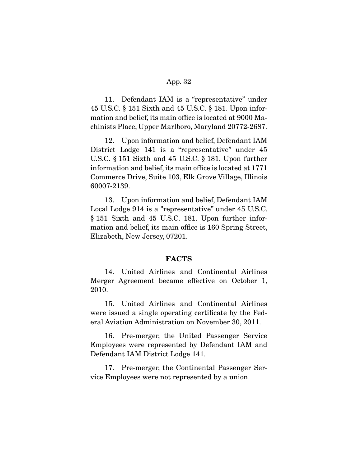11. Defendant IAM is a "representative" under 45 U.S.C. § 151 Sixth and 45 U.S.C. § 181. Upon information and belief, its main office is located at 9000 Machinists Place, Upper Marlboro, Maryland 20772-2687.

 12. Upon information and belief, Defendant IAM District Lodge 141 is a "representative" under 45 U.S.C. § 151 Sixth and 45 U.S.C. § 181. Upon further information and belief, its main office is located at 1771 Commerce Drive, Suite 103, Elk Grove Village, Illinois 60007-2139.

 13. Upon information and belief, Defendant IAM Local Lodge 914 is a "representative" under 45 U.S.C. § 151 Sixth and 45 U.S.C. 181. Upon further information and belief, its main office is 160 Spring Street, Elizabeth, New Jersey, 07201.

### **FACTS**

 14. United Airlines and Continental Airlines Merger Agreement became effective on October 1, 2010.

 15. United Airlines and Continental Airlines were issued a single operating certificate by the Federal Aviation Administration on November 30, 2011.

 16. Pre-merger, the United Passenger Service Employees were represented by Defendant IAM and Defendant IAM District Lodge 141.

 17. Pre-merger, the Continental Passenger Service Employees were not represented by a union.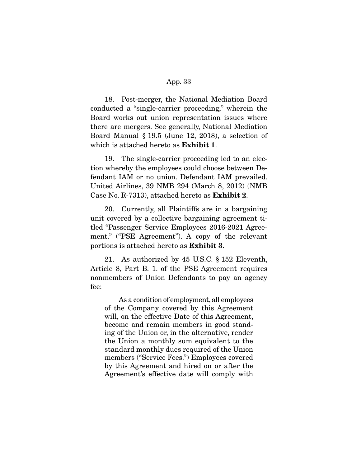18. Post-merger, the National Mediation Board conducted a "single-carrier proceeding," wherein the Board works out union representation issues where there are mergers. See generally, National Mediation Board Manual § 19.5 (June 12, 2018), a selection of which is attached hereto as **Exhibit 1**.

 19. The single-carrier proceeding led to an election whereby the employees could choose between Defendant IAM or no union. Defendant IAM prevailed. United Airlines, 39 NMB 294 (March 8, 2012) (NMB Case No. R-7313), attached hereto as **Exhibit 2**.

 20. Currently, all Plaintiffs are in a bargaining unit covered by a collective bargaining agreement titled "Passenger Service Employees 2016-2021 Agreement." ("PSE Agreement"). A copy of the relevant portions is attached hereto as **Exhibit 3**.

 21. As authorized by 45 U.S.C. § 152 Eleventh, Article 8, Part B. 1. of the PSE Agreement requires nonmembers of Union Defendants to pay an agency fee:

 As a condition of employment, all employees of the Company covered by this Agreement will, on the effective Date of this Agreement, become and remain members in good standing of the Union or, in the alternative, render the Union a monthly sum equivalent to the standard monthly dues required of the Union members ("Service Fees.") Employees covered by this Agreement and hired on or after the Agreement's effective date will comply with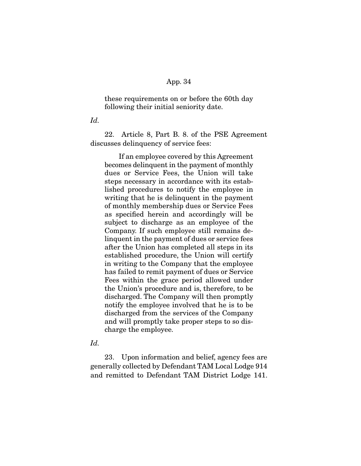these requirements on or before the 60th day following their initial seniority date.

*Id.*

 22. Article 8, Part B. 8. of the PSE Agreement discusses delinquency of service fees:

 If an employee covered by this Agreement becomes delinquent in the payment of monthly dues or Service Fees, the Union will take steps necessary in accordance with its established procedures to notify the employee in writing that he is delinquent in the payment of monthly membership dues or Service Fees as specified herein and accordingly will be subject to discharge as an employee of the Company. If such employee still remains delinquent in the payment of dues or service fees after the Union has completed all steps in its established procedure, the Union will certify in writing to the Company that the employee has failed to remit payment of dues or Service Fees within the grace period allowed under the Union's procedure and is, therefore, to be discharged. The Company will then promptly notify the employee involved that he is to be discharged from the services of the Company and will promptly take proper steps to so discharge the employee.

## *Id.*

 23. Upon information and belief, agency fees are generally collected by Defendant TAM Local Lodge 914 and remitted to Defendant TAM District Lodge 141.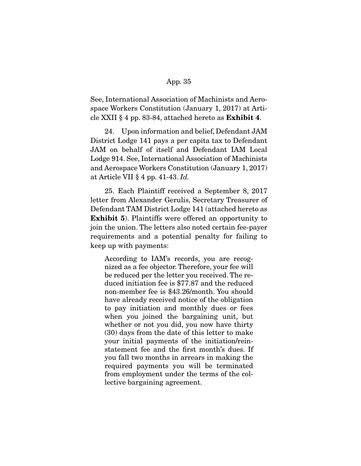See, International Association of Machinists and Aerospace Workers Constitution (January 1, 2017) at Article XXII § 4 pp. 83-84, attached hereto as **Exhibit 4**.

 24. Upon information and belief, Defendant JAM District Lodge 141 pays a per capita tax to Defendant JAM on behalf of itself and Defendant IAM Local Lodge 914. See, International Association of Machinists and Aerospace Workers Constitution (January 1, 2017) at Article VII § 4 pp. 41-43. *Id.*

 25. Each Plaintiff received a September 8, 2017 letter from Alexander Gerulis, Secretary Treasurer of Defendant TAM District Lodge 141 (attached hereto as **Exhibit 5**). Plaintiffs were offered an opportunity to join the union. The letters also noted certain fee-payer requirements and a potential penalty for failing to keep up with payments:

According to IAM's records, you are recognized as a fee objector. Therefore, your fee will be reduced per the letter you received. The reduced initiation fee is \$77.87 and the reduced non-member fee is \$43.26/month. You should have already received notice of the obligation to pay initiation and monthly dues or fees when you joined the bargaining unit, but whether or not you did, you now have thirty (30) days from the date of this letter to make your initial payments of the initiation/reinstatement fee and the first month's dues. If you fall two months in arrears in making the required payments you will be terminated from employment under the terms of the collective bargaining agreement.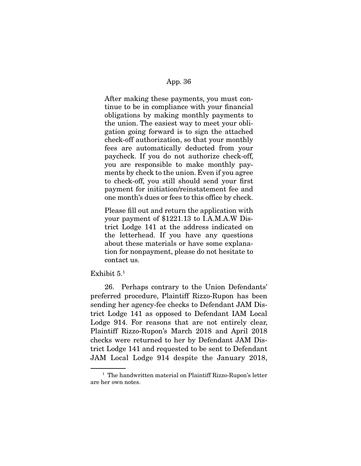After making these payments, you must continue to be in compliance with your financial obligations by making monthly payments to the union. The easiest way to meet your obligation going forward is to sign the attached check-off authorization, so that your monthly fees are automatically deducted from your paycheck. If you do not authorize check-off, you are responsible to make monthly payments by check to the union. Even if you agree to check-off, you still should send your first payment for initiation/reinstatement fee and one month's dues or fees to this office by check.

Please fill out and return the application with your payment of \$1221.13 to I.A.M.A.W District Lodge 141 at the address indicated on the letterhead. If you have any questions about these materials or have some explanation for nonpayment, please do not hesitate to contact us.

### Exhibit 5.1

 26. Perhaps contrary to the Union Defendants' preferred procedure, Plaintiff Rizzo-Rupon has been sending her agency-fee checks to Defendant JAM District Lodge 141 as opposed to Defendant IAM Local Lodge 914. For reasons that are not entirely clear, Plaintiff Rizzo-Rupon's March 2018 and April 2018 checks were returned to her by Defendant JAM District Lodge 141 and requested to be sent to Defendant JAM Local Lodge 914 despite the January 2018,

<sup>&</sup>lt;sup>1</sup> The handwritten material on Plaintiff Rizzo-Rupon's letter are her own notes.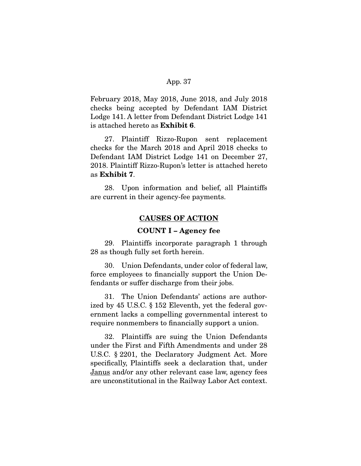February 2018, May 2018, June 2018, and July 2018 checks being accepted by Defendant IAM District Lodge 141. A letter from Defendant District Lodge 141 is attached hereto as **Exhibit 6**.

 27. Plaintiff Rizzo-Rupon sent replacement checks for the March 2018 and April 2018 checks to Defendant IAM District Lodge 141 on December 27, 2018. Plaintiff Rizzo-Rupon's letter is attached hereto as **Exhibit 7**.

 28. Upon information and belief, all Plaintiffs are current in their agency-fee payments.

## **CAUSES OF ACTION**

## **COUNT I – Agency fee**

 29. Plaintiffs incorporate paragraph 1 through 28 as though fully set forth herein.

 30. Union Defendants, under color of federal law, force employees to financially support the Union Defendants or suffer discharge from their jobs.

 31. The Union Defendants' actions are authorized by 45 U.S.C. § 152 Eleventh, yet the federal government lacks a compelling governmental interest to require nonmembers to financially support a union.

 32. Plaintiffs are suing the Union Defendants under the First and Fifth Amendments and under 28 U.S.C. § 2201, the Declaratory Judgment Act. More specifically, Plaintiffs seek a declaration that, under Janus and/or any other relevant case law, agency fees are unconstitutional in the Railway Labor Act context.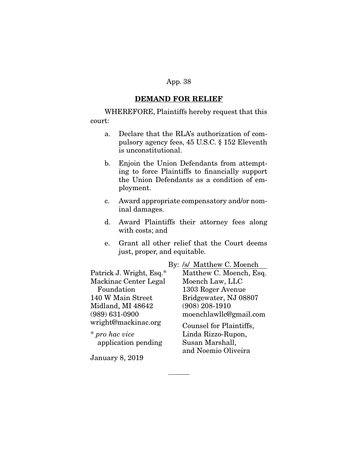# **DEMAND FOR RELIEF**

 WHEREFORE, Plaintiffs hereby request that this court:

- a. Declare that the RLA's authorization of compulsory agency fees, 45 U.S.C. § 152 Eleventh is unconstitutional.
- b. Enjoin the Union Defendants from attempting to force Plaintiffs to financially support the Union Defendants as a condition of employment.
- c. Award appropriate compensatory and/or nominal damages.
- d. Award Plaintiffs their attorney fees along with costs; and
- e. Grant all other relief that the Court deems just, proper, and equitable.

|                          | By: /s/ Matthew C. Moench |
|--------------------------|---------------------------|
| Patrick J. Wright, Esq.* | Matthew C. Moench, Esq.   |
| Mackinac Center Legal    | Moench Law, LLC           |
| Foundation               | 1303 Roger Avenue         |
| 140 W Main Street        | Bridgewater, NJ 08807     |
| Midland, MI 48642        | $(908)$ 208-1910          |
| $(989) 631 - 0900$       | moenchlawllc@gmail.com    |
| wright@mackinac.org      | Counsel for Plaintiffs,   |
| * pro hac vice           | Linda Rizzo-Rupon,        |
| application pending      | Susan Marshall,           |
|                          | and Noemio Oliveira       |

January 8, 2019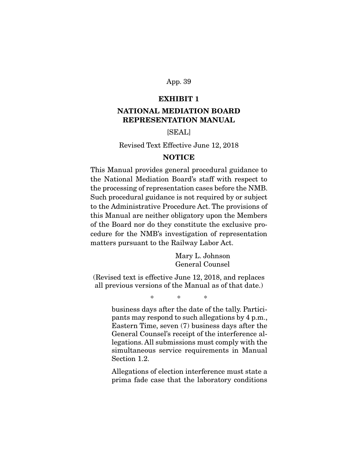#### **EXHIBIT 1**

# **NATIONAL MEDIATION BOARD REPRESENTATION MANUAL**

## [SEAL]

#### Revised Text Effective June 12, 2018

#### **NOTICE**

This Manual provides general procedural guidance to the National Mediation Board's staff with respect to the processing of representation cases before the NMB. Such procedural guidance is not required by or subject to the Administrative Procedure Act. The provisions of this Manual are neither obligatory upon the Members of the Board nor do they constitute the exclusive procedure for the NMB's investigation of representation matters pursuant to the Railway Labor Act.

> Mary L. Johnson General Counsel

(Revised text is effective June 12, 2018, and replaces all previous versions of the Manual as of that date.)

\* \* \*

 business days after the date of the tally. Participants may respond to such allegations by 4 p.m., Eastern Time, seven (7) business days after the General Counsel's receipt of the interference allegations. All submissions must comply with the simultaneous service requirements in Manual Section 1.2.

 Allegations of election interference must state a prima fade case that the laboratory conditions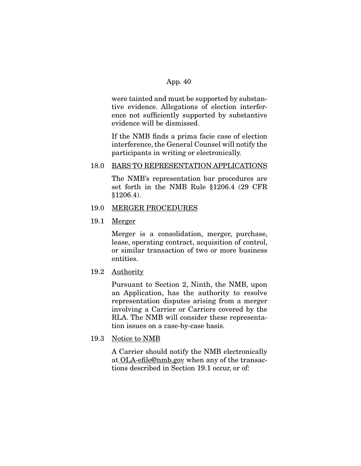were tainted and must be supported by substantive evidence. Allegations of election interference not sufficiently supported by substantive evidence will be dismissed.

 If the NMB finds a prima facie case of election interference, the General Counsel will notify the participants in writing or electronically.

## 18.0 BARS TO REPRESENTATION APPLICATIONS

 The NMB's representation bar procedures are set forth in the NMB Rule §1206.4 (29 CFR §1206.4).

## 19.0 MERGER PROCEDURES

19.1 Merger

 Merger is a consolidation, merger, purchase, lease, operating contract, acquisition of control, or similar transaction of two or more business entities.

19.2 Authority

 Pursuant to Section 2, Ninth, the NMB, upon an Application, has the authority to resolve representation disputes arising from a merger involving a Carrier or Carriers covered by the RLA. The NMB will consider these representation issues on a case-by-case basis.

19.3 Notice to NMB

 A Carrier should notify the NMB electronically at OLA-efile@nmb.gov when any of the transactions described in Section 19.1 occur, or of: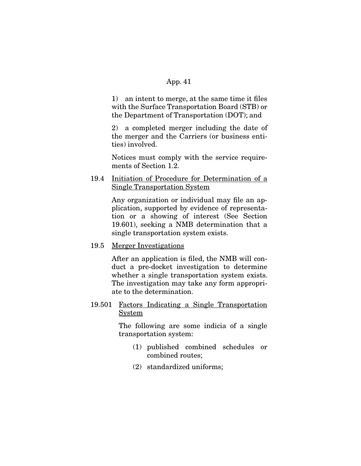1) an intent to merge, at the same time it files with the Surface Transportation Board (STB) or the Department of Transportation (DOT); and

 2) a completed merger including the date of the merger and the Carriers (or business entities) involved.

 Notices must comply with the service requirements of Section 1.2.

19.4 Initiation of Procedure for Determination of a Single Transportation System

> Any organization or individual may file an application, supported by evidence of representation or a showing of interest (See Section 19.601), seeking a NMB determination that a single transportation system exists.

19.5 Merger Investigations

 After an application is filed, the NMB will conduct a pre-docket investigation to determine whether a single transportation system exists. The investigation may take any form appropriate to the determination.

19.501 Factors Indicating a Single Transportation System

> The following are some indicia of a single transportation system:

- (1) published combined schedules or combined routes;
- (2) standardized uniforms;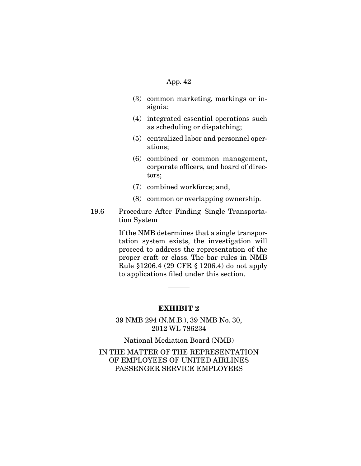- (3) common marketing, markings or insignia;
- (4) integrated essential operations such as scheduling or dispatching;
- (5) centralized labor and personnel operations;
- (6) combined or common management, corporate officers, and board of directors;
- (7) combined workforce; and,
- (8) common or overlapping ownership.
- 19.6 Procedure After Finding Single Transportation System

 If the NMB determines that a single transportation system exists, the investigation will proceed to address the representation of the proper craft or class. The bar rules in NMB Rule §1206.4 (29 CFR § 1206.4) do not apply to applications filed under this section.

#### **EXHIBIT 2**

39 NMB 294 (N.M.B.), 39 NMB No. 30, 2012 WL 786234

National Mediation Board (NMB)

IN THE MATTER OF THE REPRESENTATION OF EMPLOYEES OF UNITED AIRLINES PASSENGER SERVICE EMPLOYEES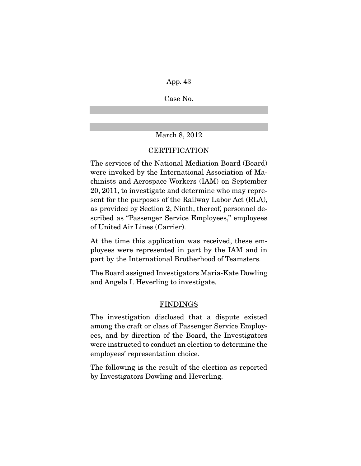Case No.

## March 8, 2012

## CERTIFICATION

The services of the National Mediation Board (Board) were invoked by the International Association of Machinists and Aerospace Workers (IAM) on September 20, 2011, to investigate and determine who may represent for the purposes of the Railway Labor Act (RLA), as provided by Section 2, Ninth, thereof, personnel described as "Passenger Service Employees," employees of United Air Lines (Carrier).

At the time this application was received, these employees were represented in part by the IAM and in part by the International Brotherhood of Teamsters.

The Board assigned Investigators Maria-Kate Dowling and Angela I. Heverling to investigate.

# FINDINGS

The investigation disclosed that a dispute existed among the craft or class of Passenger Service Employees, and by direction of the Board, the Investigators were instructed to conduct an election to determine the employees' representation choice.

The following is the result of the election as reported by Investigators Dowling and Heverling.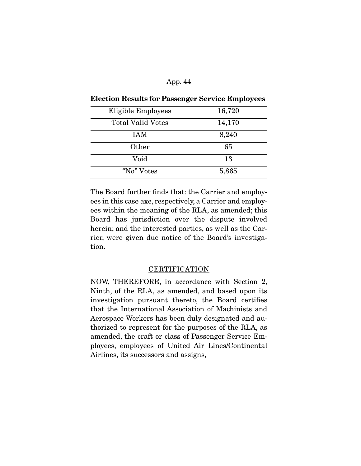| nn)<br>J. |  |
|-----------|--|
|-----------|--|

|  |  | <b>Election Results for Passenger Service Employees</b> |
|--|--|---------------------------------------------------------|
|  |  |                                                         |

| Eligible Employees       | 16,720 |
|--------------------------|--------|
| <b>Total Valid Votes</b> | 14,170 |
| <b>IAM</b>               | 8,240  |
| Other                    | 65     |
| Void                     | 13     |
| "No" Votes               | 5,865  |

The Board further finds that: the Carrier and employees in this case axe, respectively, a Carrier and employees within the meaning of the RLA, as amended; this Board has jurisdiction over the dispute involved herein; and the interested parties, as well as the Carrier, were given due notice of the Board's investigation.

## **CERTIFICATION**

NOW, THEREFORE, in accordance with Section 2, Ninth, of the RLA, as amended, and based upon its investigation pursuant thereto, the Board certifies that the International Association of Machinists and Aerospace Workers has been duly designated and authorized to represent for the purposes of the RLA, as amended, the craft or class of Passenger Service Employees, employees of United Air Lines/Continental Airlines, its successors and assigns,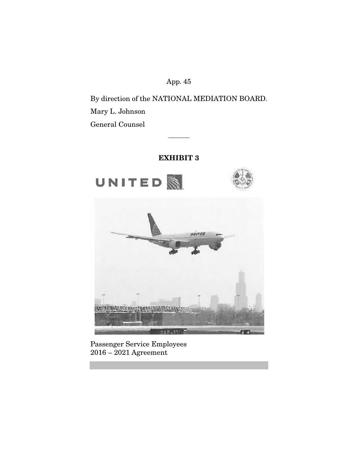By direction of the NATIONAL MEDIATION BOARD.

Mary L. Johnson

General Counsel

# **EXHIBIT 3**





Passenger Service Employees 2016 – 2021 Agreement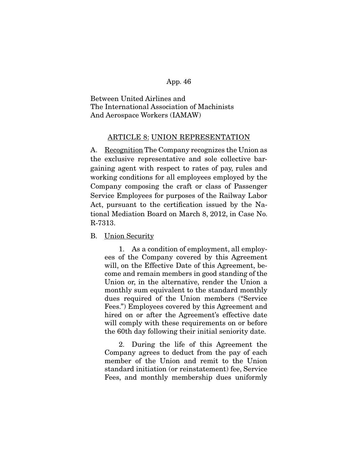Between United Airlines and The International Association of Machinists And Aerospace Workers (IAMAW)

#### ARTICLE 8: UNION REPRESENTATION

A. Recognition The Company recognizes the Union as the exclusive representative and sole collective bargaining agent with respect to rates of pay, rules and working conditions for all employees employed by the Company composing the craft or class of Passenger Service Employees for purposes of the Railway Labor Act, pursuant to the certification issued by the National Mediation Board on March 8, 2012, in Case No. R-7313.

B. Union Security

 1. As a condition of employment, all employees of the Company covered by this Agreement will, on the Effective Date of this Agreement, become and remain members in good standing of the Union or, in the alternative, render the Union a monthly sum equivalent to the standard monthly dues required of the Union members ("Service Fees.") Employees covered by this Agreement and hired on or after the Agreement's effective date will comply with these requirements on or before the 60th day following their initial seniority date.

 2. During the life of this Agreement the Company agrees to deduct from the pay of each member of the Union and remit to the Union standard initiation (or reinstatement) fee, Service Fees, and monthly membership dues uniformly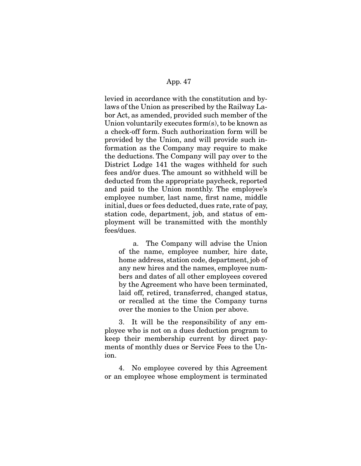levied in accordance with the constitution and bylaws of the Union as prescribed by the Railway Labor Act, as amended, provided such member of the Union voluntarily executes form(s), to be known as a check-off form. Such authorization form will be provided by the Union, and will provide such information as the Company may require to make the deductions. The Company will pay over to the District Lodge 141 the wages withheld for such fees and/or dues. The amount so withheld will be deducted from the appropriate paycheck, reported and paid to the Union monthly. The employee's employee number, last name, first name, middle initial, dues or fees deducted, dues rate, rate of pay, station code, department, job, and status of employment will be transmitted with the monthly fees/dues.

 a. The Company will advise the Union of the name, employee number, hire date, home address, station code, department, job of any new hires and the names, employee numbers and dates of all other employees covered by the Agreement who have been terminated, laid off, retired, transferred, changed status, or recalled at the time the Company turns over the monies to the Union per above.

 3. It will be the responsibility of any employee who is not on a dues deduction program to keep their membership current by direct payments of monthly dues or Service Fees to the Union.

 4. No employee covered by this Agreement or an employee whose employment is terminated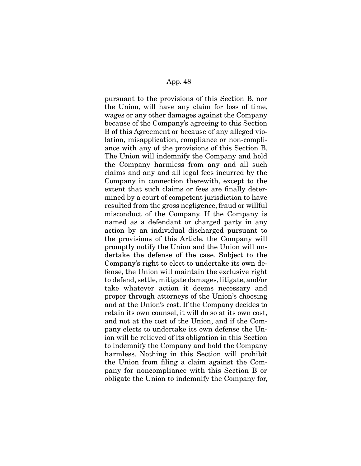pursuant to the provisions of this Section B, nor the Union, will have any claim for loss of time, wages or any other damages against the Company because of the Company's agreeing to this Section B of this Agreement or because of any alleged violation, misapplication, compliance or non-compliance with any of the provisions of this Section B. The Union will indemnify the Company and hold the Company harmless from any and all such claims and any and all legal fees incurred by the Company in connection therewith, except to the extent that such claims or fees are finally determined by a court of competent jurisdiction to have resulted from the gross negligence, fraud or willful misconduct of the Company. If the Company is named as a defendant or charged party in any action by an individual discharged pursuant to the provisions of this Article, the Company will promptly notify the Union and the Union will undertake the defense of the case. Subject to the Company's right to elect to undertake its own defense, the Union will maintain the exclusive right to defend, settle, mitigate damages, litigate, and/or take whatever action it deems necessary and proper through attorneys of the Union's choosing and at the Union's cost. If the Company decides to retain its own counsel, it will do so at its own cost, and not at the cost of the Union, and if the Company elects to undertake its own defense the Union will be relieved of its obligation in this Section to indemnify the Company and hold the Company harmless. Nothing in this Section will prohibit the Union from filing a claim against the Company for noncompliance with this Section B or obligate the Union to indemnify the Company for,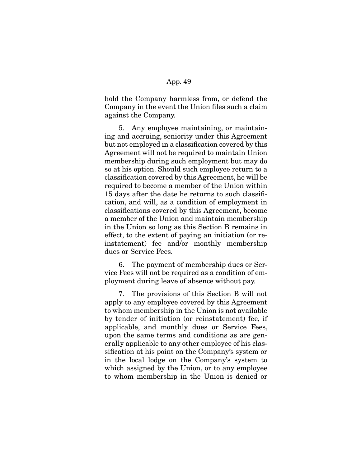hold the Company harmless from, or defend the Company in the event the Union files such a claim against the Company.

 5. Any employee maintaining, or maintaining and accruing, seniority under this Agreement but not employed in a classification covered by this Agreement will not be required to maintain Union membership during such employment but may do so at his option. Should such employee return to a classification covered by this Agreement, he will be required to become a member of the Union within 15 days after the date he returns to such classification, and will, as a condition of employment in classifications covered by this Agreement, become a member of the Union and maintain membership in the Union so long as this Section B remains in effect, to the extent of paying an initiation (or reinstatement) fee and/or monthly membership dues or Service Fees.

 6. The payment of membership dues or Service Fees will not be required as a condition of employment during leave of absence without pay.

 7. The provisions of this Section B will not apply to any employee covered by this Agreement to whom membership in the Union is not available by tender of initiation (or reinstatement) fee, if applicable, and monthly dues or Service Fees, upon the same terms and conditions as are generally applicable to any other employee of his classification at his point on the Company's system or in the local lodge on the Company's system to which assigned by the Union, or to any employee to whom membership in the Union is denied or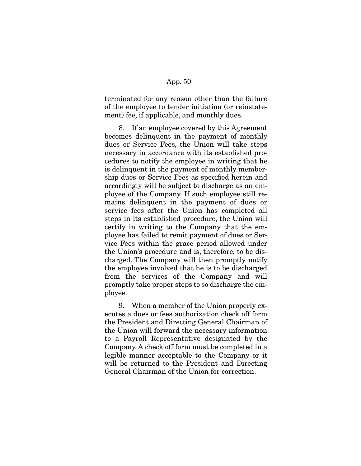terminated for any reason other than the failure of the employee to tender initiation (or reinstatement) fee, if applicable, and monthly dues.

 8. If an employee covered by this Agreement becomes delinquent in the payment of monthly dues or Service Fees, the Union will take steps necessary in accordance with its established procedures to notify the employee in writing that he is delinquent in the payment of monthly membership dues or Service Fees as specified herein and accordingly will be subject to discharge as an employee of the Company. If such employee still remains delinquent in the payment of dues or service fees after the Union has completed all steps in its established procedure, the Union will certify in writing to the Company that the employee has failed to remit payment of dues or Service Fees within the grace period allowed under the Union's procedure and is, therefore, to be discharged. The Company will then promptly notify the employee involved that he is to be discharged from the services of the Company and will promptly take proper steps to so discharge the employee.

 9. When a member of the Union properly executes a dues or fees authorization check off form the President and Directing General Chairman of the Union will forward the necessary information to a Payroll Representative designated by the Company. A check off form must be completed in a legible manner acceptable to the Company or it will be returned to the President and Directing General Chairman of the Union for correction.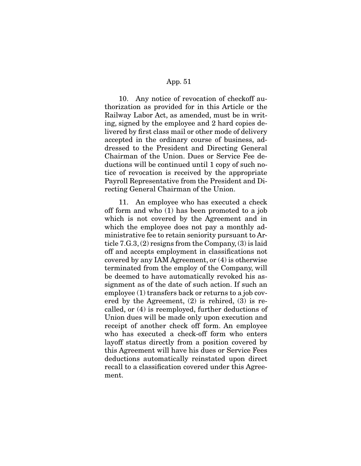10. Any notice of revocation of checkoff authorization as provided for in this Article or the Railway Labor Act, as amended, must be in writing, signed by the employee and 2 hard copies delivered by first class mail or other mode of delivery accepted in the ordinary course of business, addressed to the President and Directing General Chairman of the Union. Dues or Service Fee deductions will be continued until 1 copy of such notice of revocation is received by the appropriate Payroll Representative from the President and Directing General Chairman of the Union.

 11. An employee who has executed a check off form and who (1) has been promoted to a job which is not covered by the Agreement and in which the employee does not pay a monthly administrative fee to retain seniority pursuant to Article 7.G.3, (2) resigns from the Company, (3) is laid off and accepts employment in classifications not covered by any IAM Agreement, or (4) is otherwise terminated from the employ of the Company, will be deemed to have automatically revoked his assignment as of the date of such action. If such an employee (1) transfers back or returns to a job covered by the Agreement, (2) is rehired, (3) is recalled, or (4) is reemployed, further deductions of Union dues will be made only upon execution and receipt of another check off form. An employee who has executed a check-off form who enters layoff status directly from a position covered by this Agreement will have his dues or Service Fees deductions automatically reinstated upon direct recall to a classification covered under this Agreement.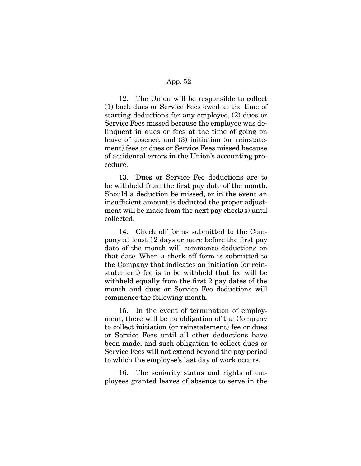12. The Union will be responsible to collect (1) back dues or Service Fees owed at the time of starting deductions for any employee, (2) dues or Service Fees missed because the employee was delinquent in dues or fees at the time of going on leave of absence, and (3) initiation (or reinstatement) fees or dues or Service Fees missed because of accidental errors in the Union's accounting procedure.

 13. Dues or Service Fee deductions are to be withheld from the first pay date of the month. Should a deduction be missed, or in the event an insufficient amount is deducted the proper adjustment will be made from the next pay check(s) until collected.

 14. Check off forms submitted to the Company at least 12 days or more before the first pay date of the month will commence deductions on that date. When a check off form is submitted to the Company that indicates an initiation (or reinstatement) fee is to be withheld that fee will be withheld equally from the first 2 pay dates of the month and dues or Service Fee deductions will commence the following month.

 15. In the event of termination of employment, there will be no obligation of the Company to collect initiation (or reinstatement) fee or dues or Service Fees until all other deductions have been made, and such obligation to collect dues or Service Fees will not extend beyond the pay period to which the employee's last day of work occurs.

 16. The seniority status and rights of employees granted leaves of absence to serve in the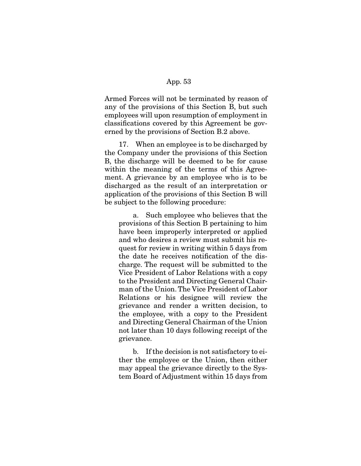Armed Forces will not be terminated by reason of any of the provisions of this Section B, but such employees will upon resumption of employment in classifications covered by this Agreement be governed by the provisions of Section B.2 above.

 17. When an employee is to be discharged by the Company under the provisions of this Section B, the discharge will be deemed to be for cause within the meaning of the terms of this Agreement. A grievance by an employee who is to be discharged as the result of an interpretation or application of the provisions of this Section B will be subject to the following procedure:

 a. Such employee who believes that the provisions of this Section B pertaining to him have been improperly interpreted or applied and who desires a review must submit his request for review in writing within 5 days from the date he receives notification of the discharge. The request will be submitted to the Vice President of Labor Relations with a copy to the President and Directing General Chairman of the Union. The Vice President of Labor Relations or his designee will review the grievance and render a written decision, to the employee, with a copy to the President and Directing General Chairman of the Union not later than 10 days following receipt of the grievance.

 b. If the decision is not satisfactory to either the employee or the Union, then either may appeal the grievance directly to the System Board of Adjustment within 15 days from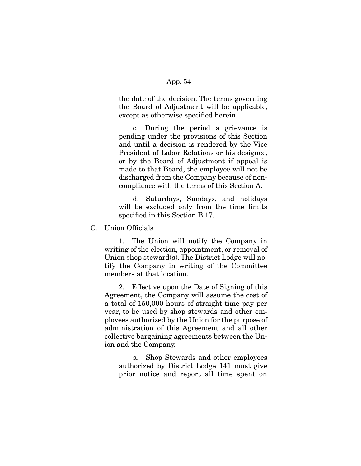the date of the decision. The terms governing the Board of Adjustment will be applicable, except as otherwise specified herein.

 c. During the period a grievance is pending under the provisions of this Section and until a decision is rendered by the Vice President of Labor Relations or his designee, or by the Board of Adjustment if appeal is made to that Board, the employee will not be discharged from the Company because of noncompliance with the terms of this Section A.

 d. Saturdays, Sundays, and holidays will be excluded only from the time limits specified in this Section B.17.

#### C. Union Officials

 1. The Union will notify the Company in writing of the election, appointment, or removal of Union shop steward(s). The District Lodge will notify the Company in writing of the Committee members at that location.

 2. Effective upon the Date of Signing of this Agreement, the Company will assume the cost of a total of 150,000 hours of straight-time pay per year, to be used by shop stewards and other employees authorized by the Union for the purpose of administration of this Agreement and all other collective bargaining agreements between the Union and the Company.

 a. Shop Stewards and other employees authorized by District Lodge 141 must give prior notice and report all time spent on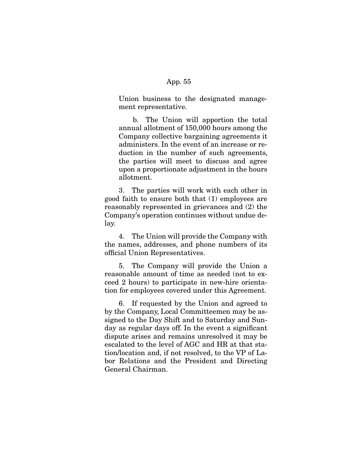Union business to the designated management representative.

 b. The Union will apportion the total annual allotment of 150,000 hours among the Company collective bargaining agreements it administers. In the event of an increase or reduction in the number of such agreements, the parties will meet to discuss and agree upon a proportionate adjustment in the hours allotment.

 3. The parties will work with each other in good faith to ensure both that (1) employees are reasonably represented in grievances and (2) the Company's operation continues without undue delay.

 4. The Union will provide the Company with the names, addresses, and phone numbers of its official Union Representatives.

 5. The Company will provide the Union a reasonable amount of time as needed (not to exceed 2 hours) to participate in new-hire orientation for employees covered under this Agreement.

 6. If requested by the Union and agreed to by the Company, Local Committeemen may be assigned to the Day Shift and to Saturday and Sunday as regular days off. In the event a significant dispute arises and remains unresolved it may be escalated to the level of AGC and HR at that station/location and, if not resolved, to the VP of Labor Relations and the President and Directing General Chairman.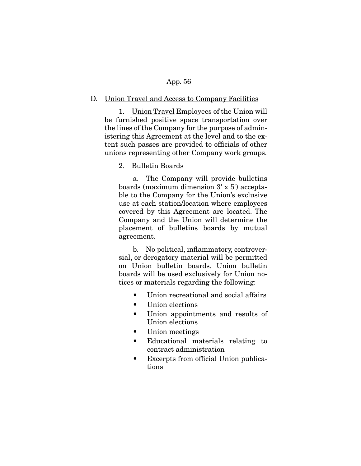## D. Union Travel and Access to Company Facilities

 1. Union Travel Employees of the Union will be furnished positive space transportation over the lines of the Company for the purpose of administering this Agreement at the level and to the extent such passes are provided to officials of other unions representing other Company work groups.

# 2. Bulletin Boards

 a. The Company will provide bulletins boards (maximum dimension 3' x 5') acceptable to the Company for the Union's exclusive use at each station/location where employees covered by this Agreement are located. The Company and the Union will determine the placement of bulletins boards by mutual agreement.

 b. No political, inflammatory, controversial, or derogatory material will be permitted on Union bulletin boards. Union bulletin boards will be used exclusively for Union notices or materials regarding the following:

- Union recreational and social affairs
- Union elections
- Union appointments and results of Union elections
- Union meetings
- Educational materials relating to contract administration
- Excerpts from official Union publications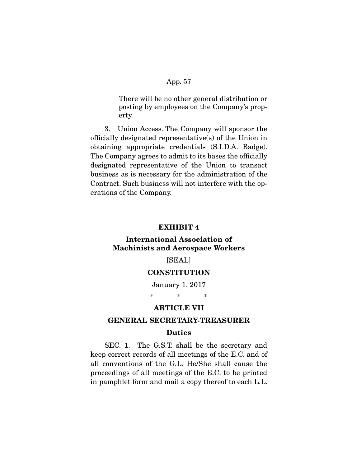There will be no other general distribution or posting by employees on the Company's property.

 3. Union Access. The Company will sponsor the officially designated representative(s) of the Union in obtaining appropriate credentials (S.I.D.A. Badge). The Company agrees to admit to its bases the officially designated representative of the Union to transact business as is necessary for the administration of the Contract. Such business will not interfere with the operations of the Company.

## **EXHIBIT 4**

# **International Association of Machinists and Aerospace Workers**

# [SEAL]

### **CONSTITUTION**

January 1, 2017

\* \* \*

# **ARTICLE VII**

# **GENERAL SECRETARY-TREASURER**

#### **Duties**

 SEC. 1. The G.S.T. shall be the secretary and keep correct records of all meetings of the E.C. and of all conventions of the G.L. He/She shall cause the proceedings of all meetings of the E.C. to be printed in pamphlet form and mail a copy thereof to each L.L.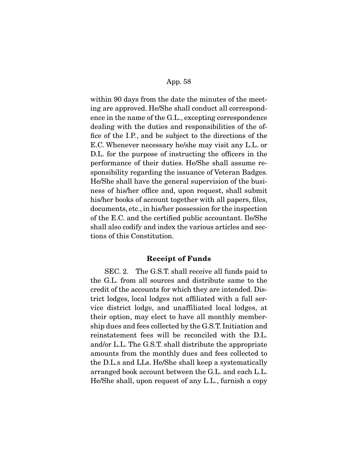within 90 days from the date the minutes of the meeting are approved. He/She shall conduct all correspondence in the name of the G.L., excepting correspondence dealing with the duties and responsibilities of the office of the I.P., and be subject to the directions of the E.C. Whenever necessary he/she may visit any L.L. or D.L. for the purpose of instructing the officers in the performance of their duties. He/She shall assume responsibility regarding the issuance of Veteran Badges. He/She shall have the general supervision of the business of his/her office and, upon request, shall submit his/her books of account together with all papers, files, documents, etc., in his/her possession for the inspection of the E.C. and the certified public accountant. Ile/She shall also codify and index the various articles and sections of this Constitution.

# **Receipt of Funds**

 SEC. 2. The G.S.T. shall receive all funds paid to the G.L. from all sources and distribute same to the credit of the accounts for which they are intended. District lodges, local lodges not affiliated with a full service district lodge, and unaffiliated local lodges, at their option, may elect to have all monthly membership dues and fees collected by the G.S.T. Initiation and reinstatement fees will be reconciled with the D.L. and/or L.L. The G.S.T. shall distribute the appropriate amounts from the monthly dues and fees collected to the D.L.s and LLs. He/She shall keep a systematically arranged book account between the G.L. and each L.L. He/She shall, upon request of any L.L., furnish a copy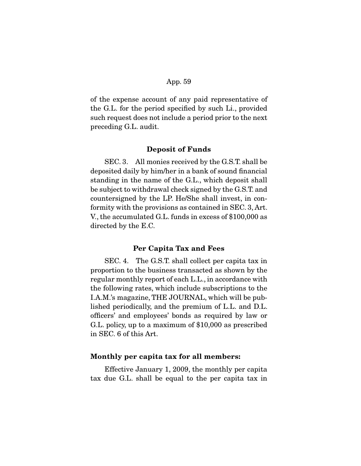of the expense account of any paid representative of the G.L. for the period specified by such Li., provided such request does not include a period prior to the next preceding G.L. audit.

#### **Deposit of Funds**

 SEC. 3. All monies received by the G.S.T. shall be deposited daily by him/her in a bank of sound financial standing in the name of the G.L., which deposit shall be subject to withdrawal check signed by the G.S.T. and countersigned by the LP. He/She shall invest, in conformity with the provisions as contained in SEC. 3, Art. V., the accumulated G.L. funds in excess of \$100,000 as directed by the E.C.

#### **Per Capita Tax and Fees**

 SEC. 4. The G.S.T. shall collect per capita tax in proportion to the business transacted as shown by the regular monthly report of each L.L., in accordance with the following rates, which include subscriptions to the I.A.M.'s magazine, THE JOURNAL, which will be published periodically, and the premium of L.L. and D.L. officers' and employees' bonds as required by law or G.L. policy, up to a maximum of \$10,000 as prescribed in SEC. 6 of this Art.

#### **Monthly per capita tax for all members:**

 Effective January 1, 2009, the monthly per capita tax due G.L. shall be equal to the per capita tax in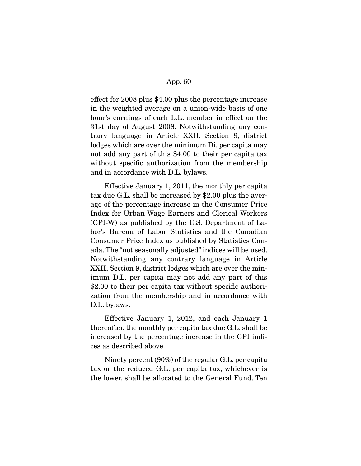effect for 2008 plus \$4.00 plus the percentage increase in the weighted average on a union-wide basis of one hour's earnings of each L.L. member in effect on the 31st day of August 2008. Notwithstanding any contrary language in Article XXII, Section 9, district lodges which are over the minimum Di. per capita may not add any part of this \$4.00 to their per capita tax without specific authorization from the membership and in accordance with D.L. bylaws.

 Effective January 1, 2011, the monthly per capita tax due G.L. shall be increased by \$2.00 plus the average of the percentage increase in the Consumer Price Index for Urban Wage Earners and Clerical Workers (CPI-W) as published by the U.S. Department of Labor's Bureau of Labor Statistics and the Canadian Consumer Price Index as published by Statistics Canada. The "not seasonally adjusted" indices will be used. Notwithstanding any contrary language in Article XXII, Section 9, district lodges which are over the minimum D.L. per capita may not add any part of this \$2.00 to their per capita tax without specific authorization from the membership and in accordance with D.L. bylaws.

 Effective January 1, 2012, and each January 1 thereafter, the monthly per capita tax due G.L. shall be increased by the percentage increase in the CPI indices as described above.

 Ninety percent (90%) of the regular G.L. per capita tax or the reduced G.L. per capita tax, whichever is the lower, shall be allocated to the General Fund. Ten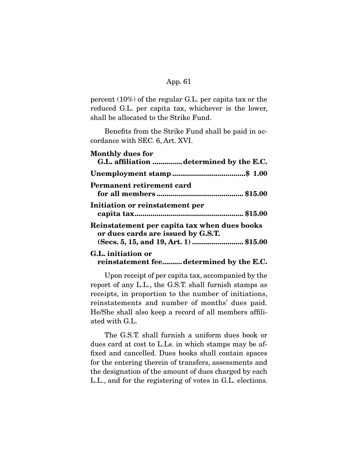percent (10%) of the regular G.L. per capita tax or the reduced G.L. per capita tax, whichever is the lower, shall be allocated to the Strike Fund.

 Benefits from the Strike Fund shall be paid in accordance with SEC. 6, Art. XVI.

| <b>Monthly dues for</b><br>G.L. affiliation determined by the E.C.                                                          |
|-----------------------------------------------------------------------------------------------------------------------------|
|                                                                                                                             |
| <b>Permanent retirement card</b>                                                                                            |
| Initiation or reinstatement per                                                                                             |
| Reinstatement per capita tax when dues books<br>or dues cards are issued by G.S.T.<br>(Secs. 5, 15, and 19, Art. 1) \$15.00 |
| G.L. initiation or<br>$\blacksquare$                                                                                        |

reinstatement fee.......... determined by the E.C.

 Upon receipt of per capita tax, accompanied by the report of any L.L., the G.S.T. shall furnish stamps as receipts, in proportion to the number of initiations, reinstatements and number of months' dues paid. He/She shall also keep a record of all members affiliated with G.L.

 The G.S.T. shall furnish a uniform dues book or dues card at cost to L.Ls. in which stamps may be affixed and cancelled. Dues books shall contain spaces for the entering therein of transfers, assessments and the designation of the amount of dues charged by each L.L., and for the registering of votes in G.L. elections.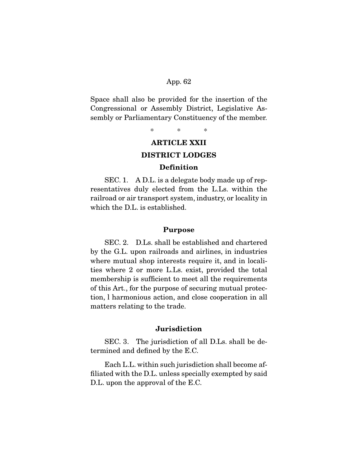Space shall also be provided for the insertion of the Congressional or Assembly District, Legislative Assembly or Parliamentary Constituency of the member.

\* \* \*

# **ARTICLE XXII**

## **DISTRICT LODGES**

## **Definition**

SEC. 1. A D.L. is a delegate body made up of representatives duly elected from the L.Ls. within the railroad or air transport system, industry, or locality in which the D.L. is established.

#### **Purpose**

 SEC. 2. D.Ls. shall be established and chartered by the G.L. upon railroads and airlines, in industries where mutual shop interests require it, and in localities where 2 or more L.Ls. exist, provided the total membership is sufficient to meet all the requirements of this Art., for the purpose of securing mutual protection, l harmonious action, and close cooperation in all matters relating to the trade.

## **Jurisdiction**

 SEC. 3. The jurisdiction of all D.Ls. shall be determined and defined by the E.C.

 Each L.L. within such jurisdiction shall become affiliated with the D.L. unless specially exempted by said D.L. upon the approval of the E.C.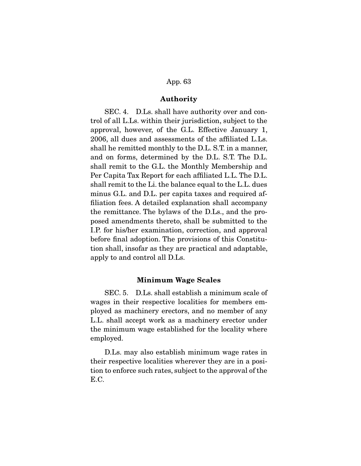#### **Authority**

 SEC. 4. D.Ls. shall have authority over and control of all L.Ls. within their jurisdiction, subject to the approval, however, of the G.L. Effective January 1, 2006, all dues and assessments of the affiliated L.Ls. shall he remitted monthly to the D.L. S.T. in a manner, and on forms, determined by the D.L. S.T. The D.L. shall remit to the G.L. the Monthly Membership and Per Capita Tax Report for each affiliated L.L. The D.L. shall remit to the Li. the balance equal to the L.L. dues minus G.L. and D.L. per capita taxes and required affiliation fees. A detailed explanation shall accompany the remittance. The bylaws of the D.Ls., and the proposed amendments thereto, shall be submitted to the I.P. for his/her examination, correction, and approval before final adoption. The provisions of this Constitution shall, insofar as they are practical and adaptable, apply to and control all D.Ls.

#### **Minimum Wage Scales**

 SEC. 5. D.Ls. shall establish a minimum scale of wages in their respective localities for members employed as machinery erectors, and no member of any L.L. shall accept work as a machinery erector under the minimum wage established for the locality where employed.

 D.Ls. may also establish minimum wage rates in their respective localities wherever they are in a position to enforce such rates, subject to the approval of the E.C.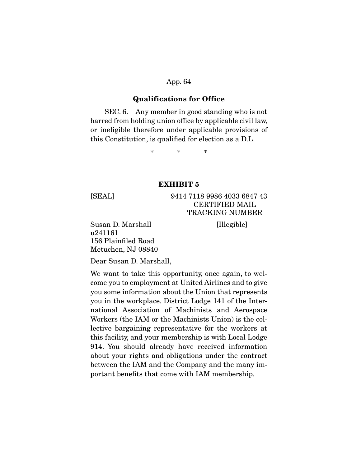#### **Qualifications for Office**

 SEC. 6. Any member in good standing who is not barred from holding union office by applicable civil law, or ineligible therefore under applicable provisions of this Constitution, is qualified for election as a D.L.

\* \* \*

# **EXHIBIT 5**

[SEAL] 9414 7118 9986 4033 6847 43 CERTIFIED MAIL TRACKING NUMBER

Susan D. Marshall [Illegible] u241161 156 Plainfiled Road Metuchen, NJ 08840

Dear Susan D. Marshall,

We want to take this opportunity, once again, to welcome you to employment at United Airlines and to give you some information about the Union that represents you in the workplace. District Lodge 141 of the International Association of Machinists and Aerospace Workers (the IAM or the Machinists Union) is the collective bargaining representative for the workers at this facility, and your membership is with Local Lodge 914. You should already have received information about your rights and obligations under the contract between the IAM and the Company and the many important benefits that come with IAM membership.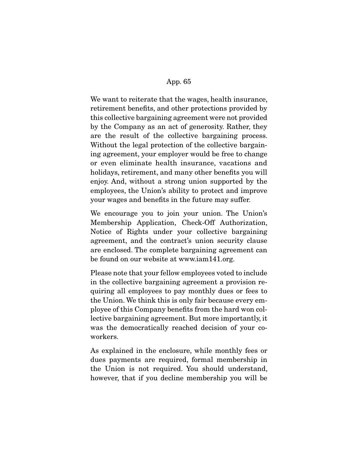We want to reiterate that the wages, health insurance, retirement benefits, and other protections provided by this collective bargaining agreement were not provided by the Company as an act of generosity. Rather, they are the result of the collective bargaining process. Without the legal protection of the collective bargaining agreement, your employer would be free to change or even eliminate health insurance, vacations and holidays, retirement, and many other benefits you will enjoy. And, without a strong union supported by the employees, the Union's ability to protect and improve your wages and benefits in the future may suffer.

We encourage you to join your union. The Union's Membership Application, Check-Off Authorization, Notice of Rights under your collective bargaining agreement, and the contract's union security clause are enclosed. The complete bargaining agreement can be found on our website at www.iam141.org.

Please note that your fellow employees voted to include in the collective bargaining agreement a provision requiring all employees to pay monthly dues or fees to the Union. We think this is only fair because every employee of this Company benefits from the hard won collective bargaining agreement. But more importantly, it was the democratically reached decision of your coworkers.

As explained in the enclosure, while monthly fees or dues payments are required, formal membership in the Union is not required. You should understand, however, that if you decline membership you will be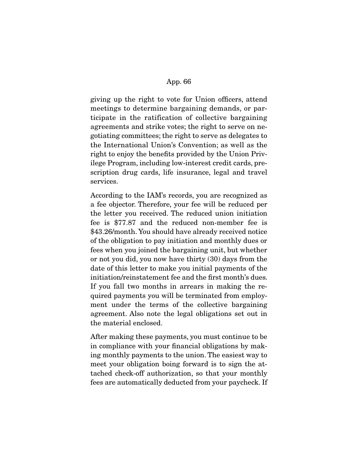giving up the right to vote for Union officers, attend meetings to determine bargaining demands, or participate in the ratification of collective bargaining agreements and strike votes; the right to serve on negotiating committees; the right to serve as delegates to the International Union's Convention; as well as the right to enjoy the benefits provided by the Union Privilege Program, including low-interest credit cards, prescription drug cards, life insurance, legal and travel services.

According to the IAM's records, you are recognized as a fee objector. Therefore, your fee will be reduced per the letter you received. The reduced union initiation fee is \$77.87 and the reduced non-member fee is \$43.26/month. You should have already received notice of the obligation to pay initiation and monthly dues or fees when you joined the bargaining unit, but whether or not you did, you now have thirty (30) days from the date of this letter to make you initial payments of the initiation/reinstatement fee and the first month's dues. If you fall two months in arrears in making the required payments you will be terminated from employment under the terms of the collective bargaining agreement. Also note the legal obligations set out in the material enclosed.

After making these payments, you must continue to be in compliance with your financial obligations by making monthly payments to the union. The easiest way to meet your obligation boing forward is to sign the attached check-off authorization, so that your monthly fees are automatically deducted from your paycheck. If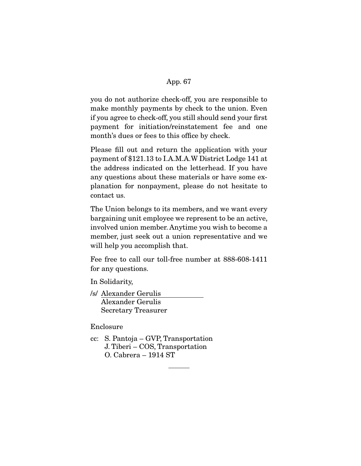you do not authorize check-off, you are responsible to make monthly payments by check to the union. Even if you agree to check-off, you still should send your first payment for initiation/reinstatement fee and one month's dues or fees to this office by check.

Please fill out and return the application with your payment of \$121.13 to I.A.M.A.W District Lodge 141 at the address indicated on the letterhead. If you have any questions about these materials or have some explanation for nonpayment, please do not hesitate to contact us.

The Union belongs to its members, and we want every bargaining unit employee we represent to be an active, involved union member. Anytime you wish to become a member, just seek out a union representative and we will help you accomplish that.

Fee free to call our toll-free number at 888-608-1411 for any questions.

In Solidarity,

/s/ Alexander Gerulis Alexander Gerulis Secretary Treasurer

Enclosure

cc: S. Pantoja – GVP, Transportation J. Tiberi – COS, Transportation O. Cabrera – 1914 ST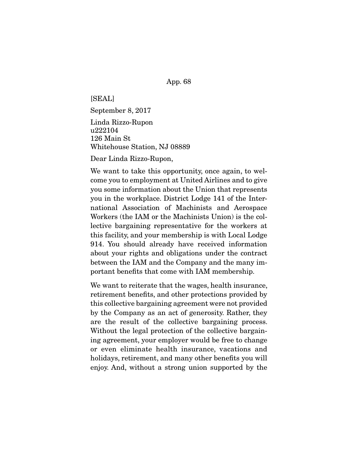[SEAL]

September 8, 2017 Linda Rizzo-Rupon u222104 126 Main St Whitehouse Station, NJ 08889

Dear Linda Rizzo-Rupon,

We want to take this opportunity, once again, to welcome you to employment at United Airlines and to give you some information about the Union that represents you in the workplace. District Lodge 141 of the International Association of Machinists and Aerospace Workers (the IAM or the Machinists Union) is the collective bargaining representative for the workers at this facility, and your membership is with Local Lodge 914. You should already have received information about your rights and obligations under the contract between the IAM and the Company and the many important benefits that come with IAM membership.

We want to reiterate that the wages, health insurance, retirement benefits, and other protections provided by this collective bargaining agreement were not provided by the Company as an act of generosity. Rather, they are the result of the collective bargaining process. Without the legal protection of the collective bargaining agreement, your employer would be free to change or even eliminate health insurance, vacations and holidays, retirement, and many other benefits you will enjoy. And, without a strong union supported by the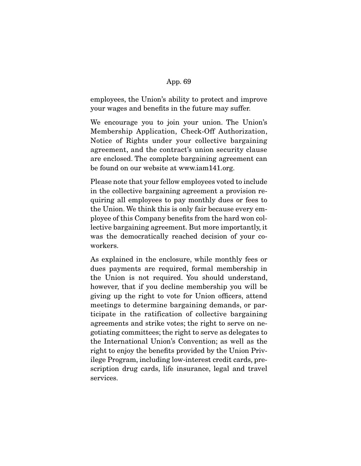employees, the Union's ability to protect and improve your wages and benefits in the future may suffer.

We encourage you to join your union. The Union's Membership Application, Check-Off Authorization, Notice of Rights under your collective bargaining agreement, and the contract's union security clause are enclosed. The complete bargaining agreement can be found on our website at www.iam141.org.

Please note that your fellow employees voted to include in the collective bargaining agreement a provision requiring all employees to pay monthly dues or fees to the Union. We think this is only fair because every employee of this Company benefits from the hard won collective bargaining agreement. But more importantly, it was the democratically reached decision of your coworkers.

As explained in the enclosure, while monthly fees or dues payments are required, formal membership in the Union is not required. You should understand, however, that if you decline membership you will be giving up the right to vote for Union officers, attend meetings to determine bargaining demands, or participate in the ratification of collective bargaining agreements and strike votes; the right to serve on negotiating committees; the right to serve as delegates to the International Union's Convention; as well as the right to enjoy the benefits provided by the Union Privilege Program, including low-interest credit cards, prescription drug cards, life insurance, legal and travel services.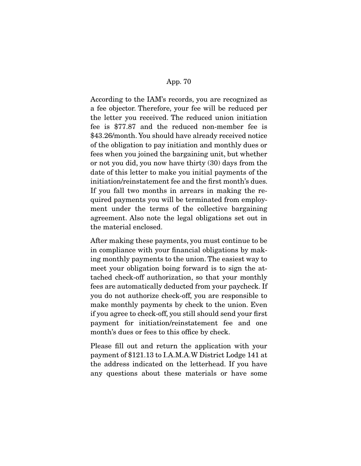According to the IAM's records, you are recognized as a fee objector. Therefore, your fee will be reduced per the letter you received. The reduced union initiation fee is \$77.87 and the reduced non-member fee is \$43.26/month. You should have already received notice of the obligation to pay initiation and monthly dues or fees when you joined the bargaining unit, but whether or not you did, you now have thirty (30) days from the date of this letter to make you initial payments of the initiation/reinstatement fee and the first month's dues. If you fall two months in arrears in making the required payments you will be terminated from employment under the terms of the collective bargaining agreement. Also note the legal obligations set out in the material enclosed.

After making these payments, you must continue to be in compliance with your financial obligations by making monthly payments to the union. The easiest way to meet your obligation boing forward is to sign the attached check-off authorization, so that your monthly fees are automatically deducted from your paycheck. If you do not authorize check-off, you are responsible to make monthly payments by check to the union. Even if you agree to check-off, you still should send your first payment for initiation/reinstatement fee and one month's dues or fees to this office by check.

Please fill out and return the application with your payment of \$121.13 to I.A.M.A.W District Lodge 141 at the address indicated on the letterhead. If you have any questions about these materials or have some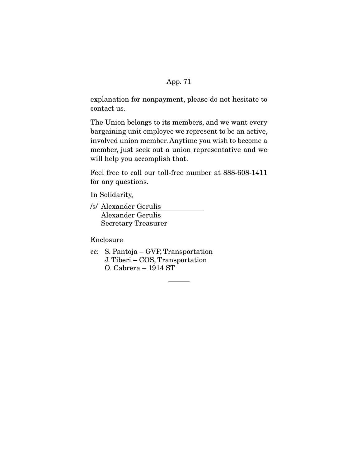explanation for nonpayment, please do not hesitate to contact us.

The Union belongs to its members, and we want every bargaining unit employee we represent to be an active, involved union member. Anytime you wish to become a member, just seek out a union representative and we will help you accomplish that.

Feel free to call our toll-free number at 888-608-1411 for any questions.

In Solidarity,

/s/ Alexander Gerulis Alexander Gerulis Secretary Treasurer

Enclosure

cc: S. Pantoja – GVP, Transportation J. Tiberi – COS, Transportation O. Cabrera – 1914 ST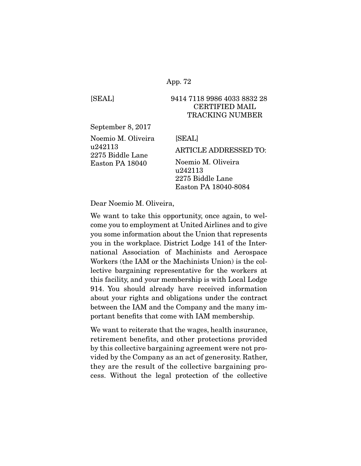[SEAL] 9414 7118 9986 4033 8832 28 CERTIFIED MAIL TRACKING NUMBER

September 8, 2017

Noemio M. Oliveira u242113 2275 Biddle Lane Easton PA 18040

[SEAL] ARTICLE ADDRESSED TO: Noemio M. Oliveira u242113 2275 Biddle Lane Easton PA 18040-8084

Dear Noemio M. Oliveira,

We want to take this opportunity, once again, to welcome you to employment at United Airlines and to give you some information about the Union that represents you in the workplace. District Lodge 141 of the International Association of Machinists and Aerospace Workers (the IAM or the Machinists Union) is the collective bargaining representative for the workers at this facility, and your membership is with Local Lodge 914. You should already have received information about your rights and obligations under the contract between the IAM and the Company and the many important benefits that come with IAM membership.

We want to reiterate that the wages, health insurance, retirement benefits, and other protections provided by this collective bargaining agreement were not provided by the Company as an act of generosity. Rather, they are the result of the collective bargaining process. Without the legal protection of the collective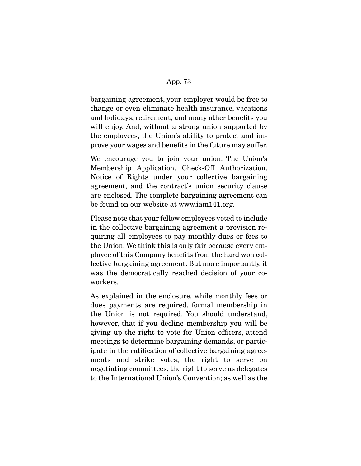bargaining agreement, your employer would be free to change or even eliminate health insurance, vacations and holidays, retirement, and many other benefits you will enjoy. And, without a strong union supported by the employees, the Union's ability to protect and improve your wages and benefits in the future may suffer.

We encourage you to join your union. The Union's Membership Application, Check-Off Authorization, Notice of Rights under your collective bargaining agreement, and the contract's union security clause are enclosed. The complete bargaining agreement can be found on our website at www.iam141.org.

Please note that your fellow employees voted to include in the collective bargaining agreement a provision requiring all employees to pay monthly dues or fees to the Union. We think this is only fair because every employee of this Company benefits from the hard won collective bargaining agreement. But more importantly, it was the democratically reached decision of your coworkers.

As explained in the enclosure, while monthly fees or dues payments are required, formal membership in the Union is not required. You should understand, however, that if you decline membership you will be giving up the right to vote for Union officers, attend meetings to determine bargaining demands, or participate in the ratification of collective bargaining agreements and strike votes; the right to serve on negotiating committees; the right to serve as delegates to the International Union's Convention; as well as the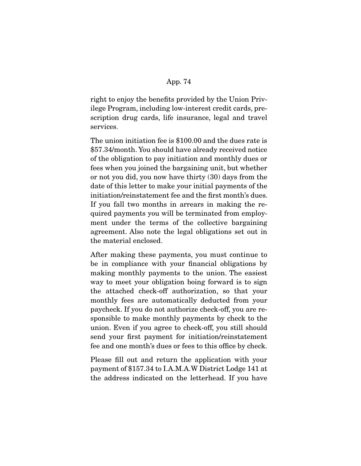right to enjoy the benefits provided by the Union Privilege Program, including low-interest credit cards, prescription drug cards, life insurance, legal and travel services.

The union initiation fee is \$100.00 and the dues rate is \$57.34/month. You should have already received notice of the obligation to pay initiation and monthly dues or fees when you joined the bargaining unit, but whether or not you did, you now have thirty (30) days from the date of this letter to make your initial payments of the initiation/reinstatement fee and the first month's dues. If you fall two months in arrears in making the required payments you will be terminated from employment under the terms of the collective bargaining agreement. Also note the legal obligations set out in the material enclosed.

After making these payments, you must continue to be in compliance with your financial obligations by making monthly payments to the union. The easiest way to meet your obligation boing forward is to sign the attached check-off authorization, so that your monthly fees are automatically deducted from your paycheck. If you do not authorize check-off, you are responsible to make monthly payments by check to the union. Even if you agree to check-off, you still should send your first payment for initiation/reinstatement fee and one month's dues or fees to this office by check.

Please fill out and return the application with your payment of \$157.34 to I.A.M.A.W District Lodge 141 at the address indicated on the letterhead. If you have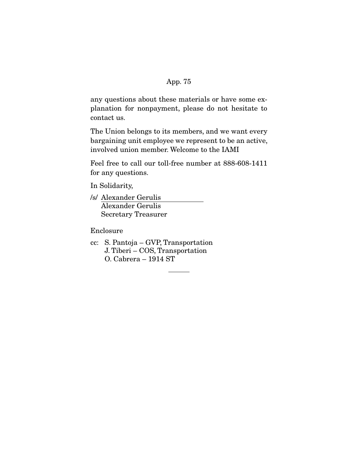any questions about these materials or have some explanation for nonpayment, please do not hesitate to contact us.

The Union belongs to its members, and we want every bargaining unit employee we represent to be an active, involved union member. Welcome to the IAMI

Feel free to call our toll-free number at 888-608-1411 for any questions.

In Solidarity,

/s/ Alexander Gerulis Alexander Gerulis Secretary Treasurer

Enclosure

cc: S. Pantoja – GVP, Transportation J. Tiberi – COS, Transportation O. Cabrera – 1914 ST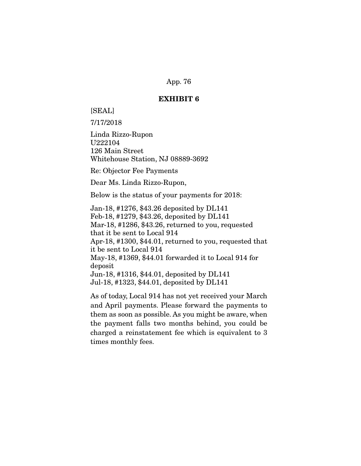#### **EXHIBIT 6**

[SEAL]

7/17/2018

Linda Rizzo-Rupon U222104 126 Main Street Whitehouse Station, NJ 08889-3692

Re: Objector Fee Payments

Dear Ms. Linda Rizzo-Rupon,

Below is the status of your payments for 2018:

Jan-18, #1276, \$43.26 deposited by DL141 Feb-18, #1279, \$43.26, deposited by DL141 Mar-18, #1286, \$43.26, returned to you, requested that it be sent to Local 914 Apr-18, #1300, \$44.01, returned to you, requested that it be sent to Local 914 May-18, #1369, \$44.01 forwarded it to Local 914 for deposit Jun-18, #1316, \$44.01, deposited by DL141 Jul-18, #1323, \$44.01, deposited by DL141

As of today, Local 914 has not yet received your March and April payments. Please forward the payments to them as soon as possible. As you might be aware, when the payment falls two months behind, you could be charged a reinstatement fee which is equivalent to 3 times monthly fees.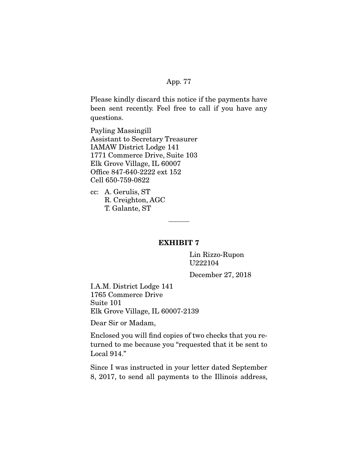Please kindly discard this notice if the payments have been sent recently. Feel free to call if you have any questions.

Payling Massingill Assistant to Secretary Treasurer IAMAW District Lodge 141 1771 Commerce Drive, Suite 103 Elk Grove Village, IL 60007 Office 847-640-2222 ext 152 Cell 650-759-0822

cc: A. Gerulis, ST R. Creighton, AGC T. Galante, ST

#### **EXHIBIT 7**

Lin Rizzo-Rupon U222104

December 27, 2018

I.A.M. District Lodge 141 1765 Commerce Drive Suite 101 Elk Grove Village, IL 60007-2139

Dear Sir or Madam,

Enclosed you will find copies of two checks that you returned to me because you "requested that it be sent to Local 914."

Since I was instructed in your letter dated September 8, 2017, to send all payments to the Illinois address,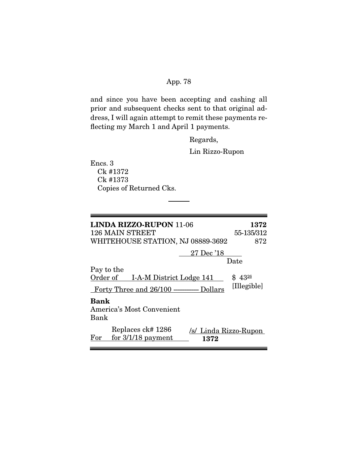and since you have been accepting and cashing all prior and subsequent checks sent to that original address, I will again attempt to remit these payments reflecting my March 1 and April 1 payments.

Regards,

Lin Rizzo-Rupon

Encs. 3 Ck #1372 Ck #1373 Copies of Returned Cks.

| <b>LINDA RIZZO-RUPON 11-06</b><br>126 MAIN STREET                                         | 1372<br>55-135/312        |
|-------------------------------------------------------------------------------------------|---------------------------|
| WHITEHOUSE STATION, NJ 08889-3692                                                         | 872                       |
| 27 Dec '18                                                                                |                           |
|                                                                                           | Date                      |
| Pay to the<br>Order of I-A-M District Lodge 141                                           | $$43^{26}$<br>[Illegible] |
| Forty Three and 26/100 - Dollars                                                          |                           |
| <b>Bank</b><br>America's Most Convenient<br>Bank                                          |                           |
| Replaces ck# 1286<br><u>/s/ Linda Rizzo-Rupon</u><br>for $3/1/18$ payment<br>F'or<br>1372 |                           |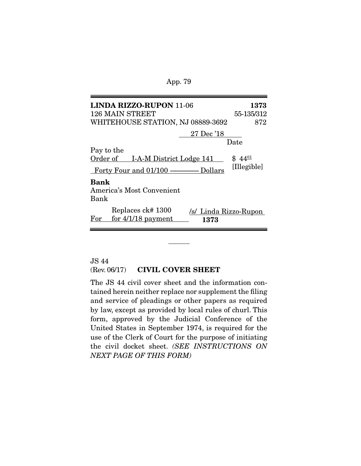| App. |  |
|------|--|
|------|--|

| <b>LINDA RIZZO-RUPON 11-06</b><br><b>126 MAIN STREET</b><br>WHITEHOUSE STATION, NJ 08889-3692 | 1373<br>55-135/312<br>872 |
|-----------------------------------------------------------------------------------------------|---------------------------|
| 27 Dec '18                                                                                    |                           |
|                                                                                               | Date                      |
| Pay to the                                                                                    |                           |
| Order of<br><u>I-A-M District Lodge 141</u>                                                   | $$44^{01}$                |
| Forty Four and 01/100 - Dollars                                                               | [Illegible]               |
| <b>Bank</b>                                                                                   |                           |
| America's Most Convenient                                                                     |                           |
| Bank                                                                                          |                           |
| Replaces ck# 1300<br><u>/s/ Linda Rizzo-Rupon</u><br>for $4/1/18$ payment<br>For<br>1373      |                           |

## JS 44 (Rev. 06/17) **CIVIL COVER SHEET**

The JS 44 civil cover sheet and the information contained herein neither replace nor supplement the filing and service of pleadings or other papers as required by law, except as provided by local rules of churl. This form, approved by the Judicial Conference of the United States in September 1974, is required for the use of the Clerk of Court for the purpose of initiating the civil docket sheet. (SEE INSTRUCTIONS ON NEXT PAGE OF THIS FORM)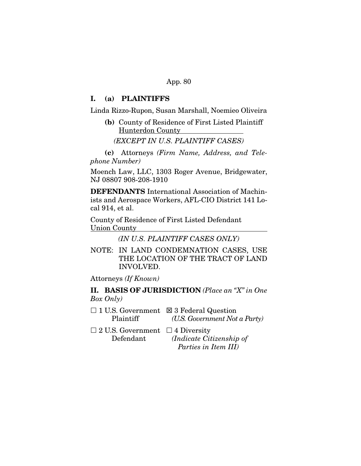## **I. (a) PLAINTIFFS**

Linda Rizzo-Rupon, Susan Marshall, Noemieo Oliveira

 **(b)** County of Residence of First Listed Plaintiff Hunterdon County

(EXCEPT IN U.S. PLAINTIFF CASES)

 **(c)** Attorneys (Firm Name, Address, and Telephone Number)

Moench Law, LLC, 1303 Roger Avenue, Bridgewater, NJ 08807 908-208-1910

**DEFENDANTS** International Association of Machinists and Aerospace Workers, AFL-CIO District 141 Local 914, et al.

County of Residence of First Listed Defendant Union County

(IN U.S. PLAINTIFF CASES ONLY)

NOTE: IN LAND CONDEMNATION CASES, USE THE LOCATION OF THE TRACT OF LAND INVOLVED.

Attorneys (If Known)

**II. BASIS OF JURISDICTION** (Place an "X" in One Box Only)

- □ 1 U.S. Government 図 3 Federal Question Plaintiff (U.S. Government Not a Party)
- $\square$  2 U.S. Government  $\square$  4 Diversity Defendant (Indicate Citizenship of Parties in Item III)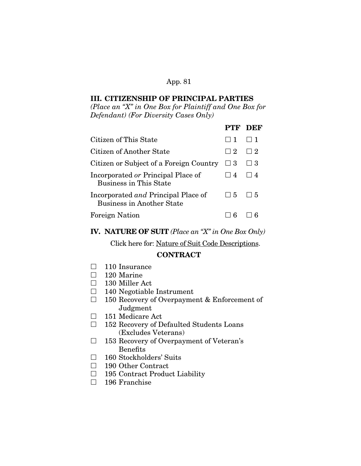## **III. CITIZENSHIP OF PRINCIPAL PARTIES**

(Place an "X" in One Box for Plaintiff and One Box for Defendant) (For Diversity Cases Only)

|                                                                         | PTF            | DRE         |
|-------------------------------------------------------------------------|----------------|-------------|
| Citizen of This State                                                   |                |             |
| Citizen of Another State                                                | $\Box$ 2       | $\Box$ 2    |
| Citizen or Subject of a Foreign Country                                 | $\Box$ 3       | ⊔ 3         |
| Incorporated or Principal Place of<br>Business in This State            | $\overline{4}$ | $\vert$   4 |
| Incorporated and Principal Place of<br><b>Business in Another State</b> | $\Box$ 5       | 115         |
| <b>Foreign Nation</b>                                                   |                |             |

# **IV. NATURE OF SUIT** (Place an "X" in One Box Only)

Click here for: Nature of Suit Code Descriptions.

## **CONTRACT**

- $\Box$  110 Insurance
- $\Box$  120 Marine
- 130 Miller Act
- $\Box$  140 Negotiable Instrument
- $\Box$  150 Recovery of Overpayment & Enforcement of Judgment
- □ 151 Medicare Act
- □ 152 Recovery of Defaulted Students Loans (Excludes Veterans)
- $\Box$  153 Recovery of Overpayment of Veteran's Benefits
- □ 160 Stockholders' Suits
- □ 190 Other Contract
- □ 195 Contract Product Liability
- $\Box$  196 Franchise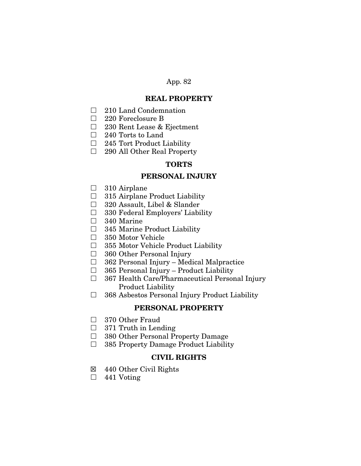## **REAL PROPERTY**

- □ 210 Land Condemnation
- □ 220 Foreclosure B
- □ 230 Rent Lease & Ejectment
- $\Box$  240 Torts to Land
- $\Box$  245 Tort Product Liability
- □ 290 All Other Real Property

## **TORTS**

### **PERSONAL INJURY**

- $\Box$  310 Airplane
- $\Box$  315 Airplane Product Liability
- □ 320 Assault, Libel & Slander
- $\Box$  330 Federal Employers' Liability
- □ 340 Marine
- $\Box$  345 Marine Product Liability
- □ 350 Motor Vehicle
- $\Box$  355 Motor Vehicle Product Liability
- $\Box$  360 Other Personal Injury
- $\Box$  362 Personal Injury Medical Malpractice
- $\Box$  365 Personal Injury Product Liability
- $\Box$  367 Health Care/Pharmaceutical Personal Injury Product Liability
- 368 Asbestos Personal Injury Product Liability

#### **PERSONAL PROPERTY**

- □ 370 Other Fraud
- $\Box$  371 Truth in Lending
- □ 380 Other Personal Property Damage
- $\Box$  385 Property Damage Product Liability

## **CIVIL RIGHTS**

- ☒ 440 Other Civil Rights
- $\Box$  441 Voting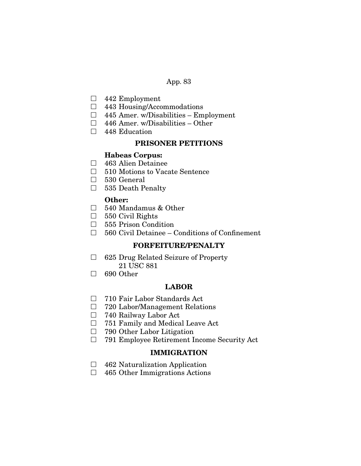- $\Box$  442 Employment
- $\Box$  443 Housing/Accommodations
- $\Box$  445 Amer. w/Disabilities Employment
- $\Box$  446 Amer. w/Disabilities Other
- □ 448 Education

## **PRISONER PETITIONS**

## **Habeas Corpus:**

- 463 Alien Detainee
- □ 510 Motions to Vacate Sentence
- □ 530 General
- $\Box$  535 Death Penalty

#### **Other:**

- 540 Mandamus & Other
- $\Box$  550 Civil Rights
- $\Box$  555 Prison Condition
- $\Box$  560 Civil Detainee Conditions of Confinement

## **FORFEITURE/PENALTY**

- □ 625 Drug Related Seizure of Property 21 USC 881
- $\Box$  690 Other

## **LABOR**

- □ 710 Fair Labor Standards Act
- □ 720 Labor/Management Relations
- 740 Railway Labor Act
- 751 Family and Medical Leave Act
- $\Box$  790 Other Labor Litigation
- 791 Employee Retirement Income Security Act

## **IMMIGRATION**

- 462 Naturalization Application
- $\Box$  465 Other Immigrations Actions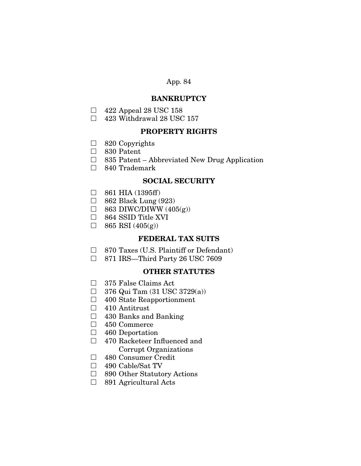## **BANKRUPTCY**

- $\Box$  422 Appeal 28 USC 158
- $\Box$  423 Withdrawal 28 USC 157

#### **PROPERTY RIGHTS**

- $\Box$  820 Copyrights
- 830 Patent
- $\Box$  835 Patent Abbreviated New Drug Application
- □ 840 Trademark

## **SOCIAL SECURITY**

- $\Box$  861 HIA (1395ff)
- $\Box$  862 Black Lung (923)
- $\Box$  863 DIWC/DIWW (405(g))
- □ 864 SSID Title XVI
- $\Box$  865 RSI (405(g))

#### **FEDERAL TAX SUITS**

- $\Box$  870 Taxes (U.S. Plaintiff or Defendant)
- 871 IRS—Third Party 26 USC 7609

#### **OTHER STATUTES**

- □ 375 False Claims Act
- $\Box$  376 Qui Tam (31 USC 3729(a))
- □ 400 State Reapportionment
- $\Box$  410 Antitrust
- $\Box$  430 Banks and Banking
- □ 450 Commerce
- $\Box$  460 Deportation
- □ 470 Racketeer Influenced and Corrupt Organizations
- 480 Consumer Credit
- □ 490 Cable/Sat TV
- □ 890 Other Statutory Actions
- 891 Agricultural Acts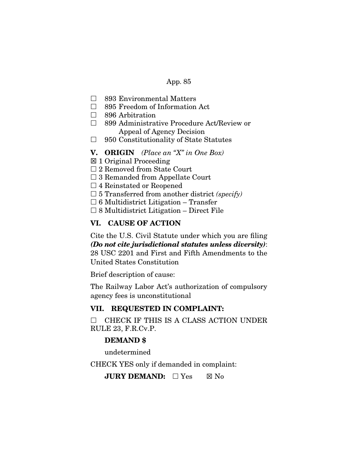- $\Box$  893 Environmental Matters
- □ 895 Freedom of Information Act
- □ 896 Arbitration
- □ 899 Administrative Procedure Act/Review or Appeal of Agency Decision
- $\Box$  950 Constitutionality of State Statutes
- **V. ORIGIN** (Place an "X" in One Box)
- 1 Original Proceeding
- □ 2 Removed from State Court
- $\Box$  3 Remanded from Appellate Court
- □ 4 Reinstated or Reopened
- $\square$  5 Transferred from another district (specify)
- $\Box$  6 Multidistrict Litigation Transfer
- $\Box$  8 Multidistrict Litigation Direct File

## **VI. CAUSE OF ACTION**

Cite the U.S. Civil Statute under which you are filing *(Do not cite jurisdictional statutes unless diversity)*: 28 USC 2201 and First and Fifth Amendments to the United States Constitution

Brief description of cause:

The Railway Labor Act's authorization of compulsory agency fees is unconstitutional

## **VII. REQUESTED IN COMPLAINT:**

 $\Box$  CHECK IF THIS IS A CLASS ACTION UNDER RULE 23, F.R.Cv.P.

## **DEMAND \$**

undetermined

CHECK YES only if demanded in complaint:

**JURY DEMAND:**  $\Box$  Yes  $\boxtimes$  No